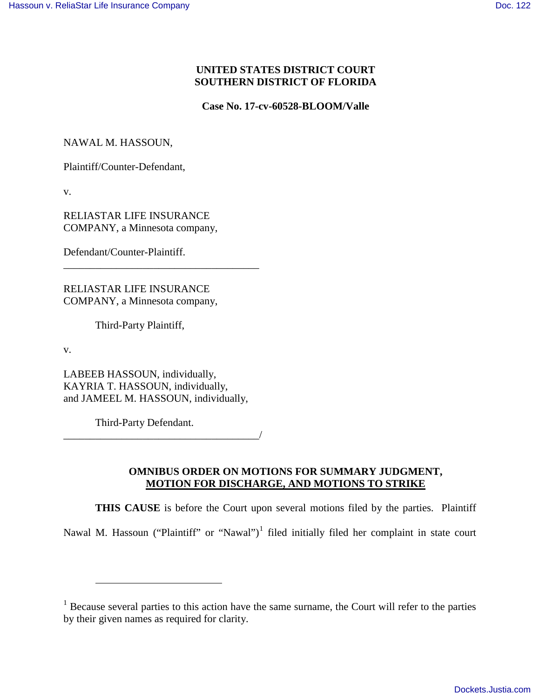# **UNITED STATES DISTRICT COURT SOUTHERN DISTRICT OF FLORIDA**

**Case No. 17-cv-60528-BLOOM/Valle**

NAWAL M. HASSOUN,

Plaintiff/Counter-Defendant,

v.

RELIASTAR LIFE INSURANCE COMPANY, a Minnesota company,

Defendant/Counter-Plaintiff.

RELIASTAR LIFE INSURANCE COMPANY, a Minnesota company,

\_\_\_\_\_\_\_\_\_\_\_\_\_\_\_\_\_\_\_\_\_\_\_\_\_\_\_\_\_\_\_\_\_\_\_\_\_

Third-Party Plaintiff,

v.

<u>.</u>

LABEEB HASSOUN, individually, KAYRIA T. HASSOUN, individually, and JAMEEL M. HASSOUN, individually,

Third-Party Defendant.

\_\_\_\_\_\_\_\_\_\_\_\_\_\_\_\_\_\_\_\_\_\_\_\_\_\_\_\_\_\_\_\_\_\_\_\_\_/

# **OMNIBUS ORDER ON MOTIONS FOR SUMMARY JUDGMENT, MOTION FOR DISCHARGE, AND MOTIONS TO STRIKE**

**THIS CAUSE** is before the Court upon several motions filed by the parties. Plaintiff Nawal M. Hassoun ("Plaintiff" or "Nawal")<sup>[1](#page-0-0)</sup> filed initially filed her complaint in state court

<span id="page-0-0"></span><sup>&</sup>lt;sup>1</sup> Because several parties to this action have the same surname, the Court will refer to the parties by their given names as required for clarity.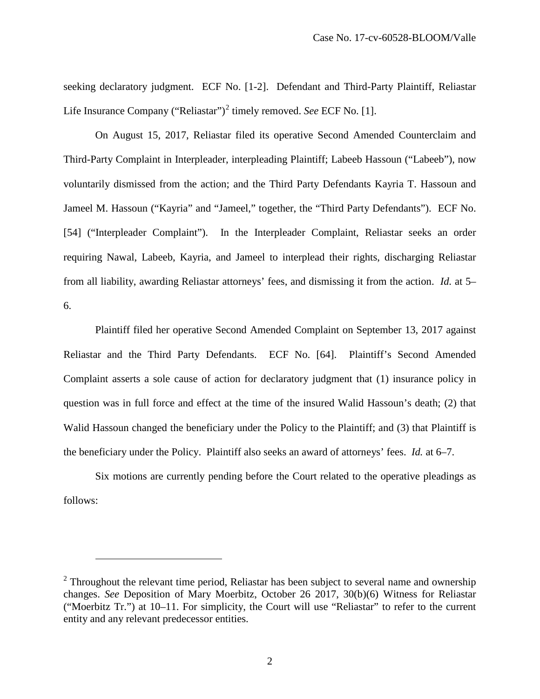seeking declaratory judgment. ECF No. [1-2]. Defendant and Third-Party Plaintiff, Reliastar Life Insurance Company ("Reliastar")<sup>[2](#page-1-0)</sup> timely removed. *See* ECF No. [1].

On August 15, 2017, Reliastar filed its operative Second Amended Counterclaim and Third-Party Complaint in Interpleader, interpleading Plaintiff; Labeeb Hassoun ("Labeeb"), now voluntarily dismissed from the action; and the Third Party Defendants Kayria T. Hassoun and Jameel M. Hassoun ("Kayria" and "Jameel," together, the "Third Party Defendants"). ECF No. [54] ("Interpleader Complaint"). In the Interpleader Complaint, Reliastar seeks an order requiring Nawal, Labeeb, Kayria, and Jameel to interplead their rights, discharging Reliastar from all liability, awarding Reliastar attorneys' fees, and dismissing it from the action. *Id.* at 5– 6.

Plaintiff filed her operative Second Amended Complaint on September 13, 2017 against Reliastar and the Third Party Defendants. ECF No. [64]. Plaintiff's Second Amended Complaint asserts a sole cause of action for declaratory judgment that (1) insurance policy in question was in full force and effect at the time of the insured Walid Hassoun's death; (2) that Walid Hassoun changed the beneficiary under the Policy to the Plaintiff; and (3) that Plaintiff is the beneficiary under the Policy. Plaintiff also seeks an award of attorneys' fees. *Id.* at 6–7.

Six motions are currently pending before the Court related to the operative pleadings as follows:

 $\overline{a}$ 

<span id="page-1-0"></span><sup>&</sup>lt;sup>2</sup> Throughout the relevant time period, Reliastar has been subject to several name and ownership changes. *See* Deposition of Mary Moerbitz, October 26 2017, 30(b)(6) Witness for Reliastar ("Moerbitz Tr.") at 10–11. For simplicity, the Court will use "Reliastar" to refer to the current entity and any relevant predecessor entities.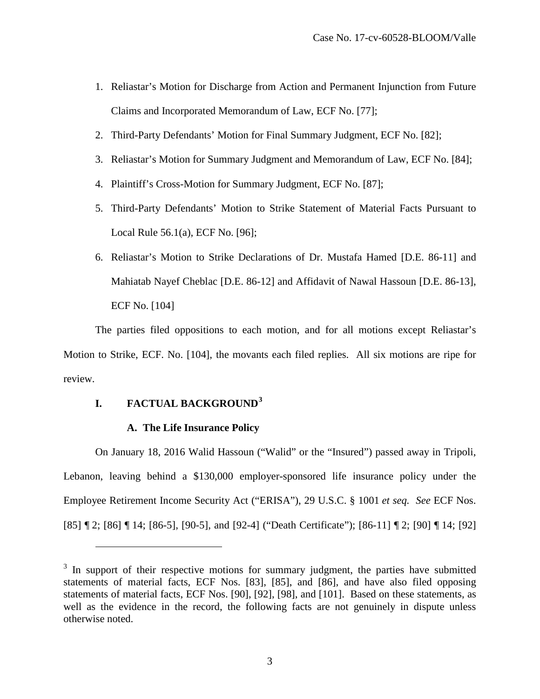- 1. Reliastar's Motion for Discharge from Action and Permanent Injunction from Future Claims and Incorporated Memorandum of Law, ECF No. [77];
- 2. Third-Party Defendants' Motion for Final Summary Judgment, ECF No. [82];
- 3. Reliastar's Motion for Summary Judgment and Memorandum of Law, ECF No. [84];
- 4. Plaintiff's Cross-Motion for Summary Judgment, ECF No. [87];
- 5. Third-Party Defendants' Motion to Strike Statement of Material Facts Pursuant to Local Rule 56.1(a), ECF No. [96];
- 6. Reliastar's Motion to Strike Declarations of Dr. Mustafa Hamed [D.E. 86-11] and Mahiatab Nayef Cheblac [D.E. 86-12] and Affidavit of Nawal Hassoun [D.E. 86-13], ECF No. [104]

The parties filed oppositions to each motion, and for all motions except Reliastar's Motion to Strike, ECF. No. [104], the movants each filed replies. All six motions are ripe for review.

# **I. FACTUAL BACKGROUND[3](#page-2-0)**

<u>.</u>

# **A. The Life Insurance Policy**

On January 18, 2016 Walid Hassoun ("Walid" or the "Insured") passed away in Tripoli, Lebanon, leaving behind a \$130,000 employer-sponsored life insurance policy under the Employee Retirement Income Security Act ("ERISA"), 29 U.S.C. § 1001 *et seq. See* ECF Nos. [85] ¶ 2; [86] ¶ 14; [86-5], [90-5], and [92-4] ("Death Certificate"); [86-11] ¶ 2; [90] ¶ 14; [92]

<span id="page-2-0"></span> $3$  In support of their respective motions for summary judgment, the parties have submitted statements of material facts, ECF Nos. [83], [85], and [86], and have also filed opposing statements of material facts, ECF Nos. [90], [92], [98], and [101]. Based on these statements, as well as the evidence in the record, the following facts are not genuinely in dispute unless otherwise noted.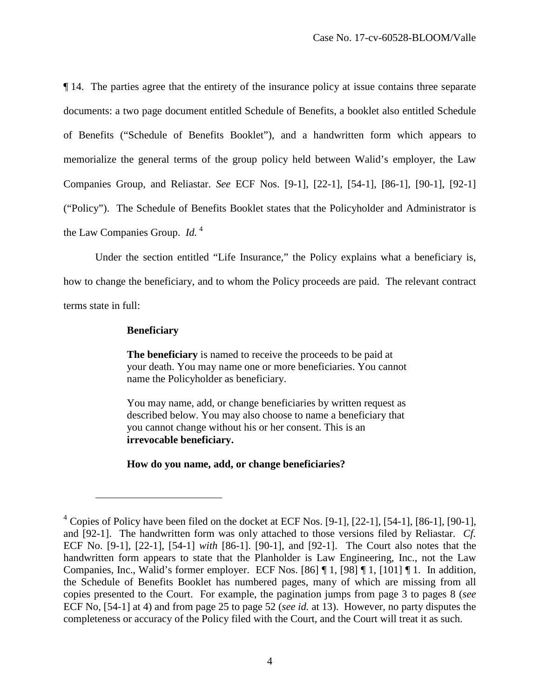¶ 14. The parties agree that the entirety of the insurance policy at issue contains three separate documents: a two page document entitled Schedule of Benefits, a booklet also entitled Schedule of Benefits ("Schedule of Benefits Booklet"), and a handwritten form which appears to memorialize the general terms of the group policy held between Walid's employer, the Law Companies Group, and Reliastar. *See* ECF Nos. [9-1], [22-1], [54-1], [86-1], [90-1], [92-1] ("Policy"). The Schedule of Benefits Booklet states that the Policyholder and Administrator is the Law Companies Group. *Id.* [4](#page-3-0)

Under the section entitled "Life Insurance," the Policy explains what a beneficiary is, how to change the beneficiary, and to whom the Policy proceeds are paid. The relevant contract terms state in full:

## **Beneficiary**

-

**The beneficiary** is named to receive the proceeds to be paid at your death. You may name one or more beneficiaries. You cannot name the Policyholder as beneficiary.

You may name, add, or change beneficiaries by written request as described below. You may also choose to name a beneficiary that you cannot change without his or her consent. This is an **irrevocable beneficiary.**

**How do you name, add, or change beneficiaries?** 

<span id="page-3-0"></span> $4$  Copies of Policy have been filed on the docket at ECF Nos. [9-1], [22-1], [54-1], [86-1], [90-1], and [92-1]. The handwritten form was only attached to those versions filed by Reliastar. *Cf.*  ECF No. [9-1], [22-1], [54-1] *with* [86-1]. [90-1], and [92-1]. The Court also notes that the handwritten form appears to state that the Planholder is Law Engineering, Inc., not the Law Companies, Inc., Walid's former employer. ECF Nos. [86] ¶ 1, [98] ¶ 1, [101] ¶ 1. In addition, the Schedule of Benefits Booklet has numbered pages, many of which are missing from all copies presented to the Court. For example, the pagination jumps from page 3 to pages 8 (*see*  ECF No, [54-1] at 4) and from page 25 to page 52 (*see id.* at 13). However, no party disputes the completeness or accuracy of the Policy filed with the Court, and the Court will treat it as such.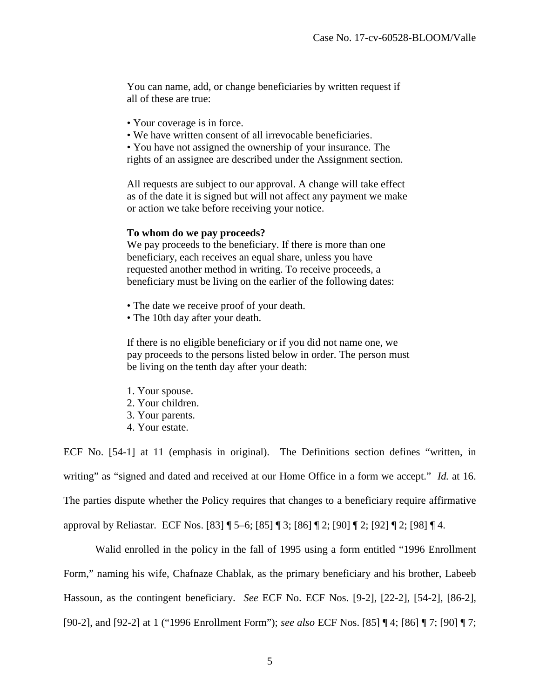You can name, add, or change beneficiaries by written request if all of these are true:

- Your coverage is in force.
- We have written consent of all irrevocable beneficiaries.
- You have not assigned the ownership of your insurance. The

rights of an assignee are described under the Assignment section.

All requests are subject to our approval. A change will take effect as of the date it is signed but will not affect any payment we make or action we take before receiving your notice.

#### **To whom do we pay proceeds?**

We pay proceeds to the beneficiary. If there is more than one beneficiary, each receives an equal share, unless you have requested another method in writing. To receive proceeds, a beneficiary must be living on the earlier of the following dates:

- The date we receive proof of your death.
- The 10th day after your death.

If there is no eligible beneficiary or if you did not name one, we pay proceeds to the persons listed below in order. The person must be living on the tenth day after your death:

- 1. Your spouse.
- 2. Your children.
- 3. Your parents.
- 4. Your estate.

ECF No. [54-1] at 11 (emphasis in original). The Definitions section defines "written, in writing" as "signed and dated and received at our Home Office in a form we accept." *Id.* at 16. The parties dispute whether the Policy requires that changes to a beneficiary require affirmative approval by Reliastar. ECF Nos. [83] ¶ 5–6; [85] ¶ 3; [86] ¶ 2; [90] ¶ 2; [92] ¶ 2; [98] ¶ 4.

Walid enrolled in the policy in the fall of 1995 using a form entitled "1996 Enrollment Form," naming his wife, Chafnaze Chablak, as the primary beneficiary and his brother, Labeeb Hassoun, as the contingent beneficiary. *See* ECF No. ECF Nos. [9-2], [22-2], [54-2], [86-2], [90-2], and [92-2] at 1 ("1996 Enrollment Form"); *see also* ECF Nos. [85] ¶ 4; [86] ¶ 7; [90] ¶ 7;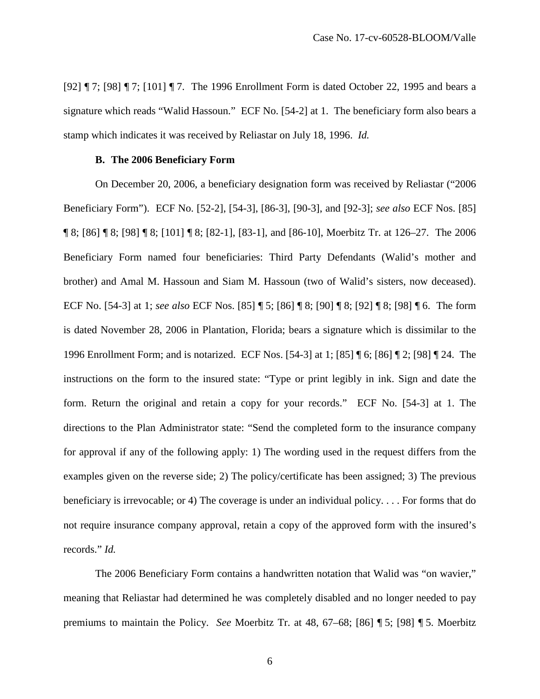[92] ¶ 7; [98] ¶ 7; [101] ¶ 7. The 1996 Enrollment Form is dated October 22, 1995 and bears a signature which reads "Walid Hassoun." ECF No. [54-2] at 1. The beneficiary form also bears a stamp which indicates it was received by Reliastar on July 18, 1996. *Id.* 

## **B. The 2006 Beneficiary Form**

On December 20, 2006, a beneficiary designation form was received by Reliastar ("2006 Beneficiary Form"). ECF No. [52-2], [54-3], [86-3], [90-3], and [92-3]; *see also* ECF Nos. [85] ¶ 8; [86] ¶ 8; [98] ¶ 8; [101] ¶ 8; [82-1], [83-1], and [86-10], Moerbitz Tr. at 126–27. The 2006 Beneficiary Form named four beneficiaries: Third Party Defendants (Walid's mother and brother) and Amal M. Hassoun and Siam M. Hassoun (two of Walid's sisters, now deceased). ECF No. [54-3] at 1; *see also* ECF Nos. [85] ¶ 5; [86] ¶ 8; [90] ¶ 8; [92] ¶ 8; [98] ¶ 6. The form is dated November 28, 2006 in Plantation, Florida; bears a signature which is dissimilar to the 1996 Enrollment Form; and is notarized. ECF Nos. [54-3] at 1; [85] ¶ 6; [86] ¶ 2; [98] ¶ 24. The instructions on the form to the insured state: "Type or print legibly in ink. Sign and date the form. Return the original and retain a copy for your records." ECF No. [54-3] at 1. The directions to the Plan Administrator state: "Send the completed form to the insurance company for approval if any of the following apply: 1) The wording used in the request differs from the examples given on the reverse side; 2) The policy/certificate has been assigned; 3) The previous beneficiary is irrevocable; or 4) The coverage is under an individual policy. . . . For forms that do not require insurance company approval, retain a copy of the approved form with the insured's records." *Id.* 

The 2006 Beneficiary Form contains a handwritten notation that Walid was "on wavier," meaning that Reliastar had determined he was completely disabled and no longer needed to pay premiums to maintain the Policy. *See* Moerbitz Tr. at 48, 67–68; [86] ¶ 5; [98] ¶ 5. Moerbitz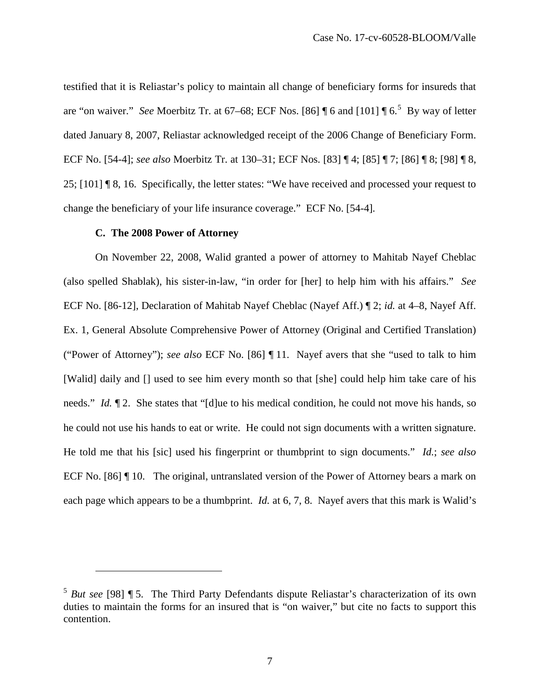testified that it is Reliastar's policy to maintain all change of beneficiary forms for insureds that are "on waiver." *See* Moerbitz Tr. at 67–68; ECF Nos. [86] ¶ 6 and [101] ¶ 6.<sup>[5](#page-6-0)</sup> By way of letter dated January 8, 2007, Reliastar acknowledged receipt of the 2006 Change of Beneficiary Form. ECF No. [54-4]; *see also* Moerbitz Tr. at 130–31; ECF Nos. [83] ¶ 4; [85] ¶ 7; [86] ¶ 8; [98] ¶ 8, 25; [101] ¶ 8, 16. Specifically, the letter states: "We have received and processed your request to change the beneficiary of your life insurance coverage." ECF No. [54-4]*.*

## **C. The 2008 Power of Attorney**

<u>.</u>

On November 22, 2008, Walid granted a power of attorney to Mahitab Nayef Cheblac (also spelled Shablak), his sister-in-law, "in order for [her] to help him with his affairs." *See*  ECF No. [86-12], Declaration of Mahitab Nayef Cheblac (Nayef Aff.) ¶ 2; *id.* at 4–8, Nayef Aff. Ex. 1, General Absolute Comprehensive Power of Attorney (Original and Certified Translation) ("Power of Attorney"); *see also* ECF No. [86] ¶ 11. Nayef avers that she "used to talk to him [Walid] daily and [] used to see him every month so that [she] could help him take care of his needs." *Id.*  $\llbracket 2$ . She states that "[d]ue to his medical condition, he could not move his hands, so he could not use his hands to eat or write. He could not sign documents with a written signature. He told me that his [sic] used his fingerprint or thumbprint to sign documents." *Id.*; *see also*  ECF No. [86] If 10. The original, untranslated version of the Power of Attorney bears a mark on each page which appears to be a thumbprint. *Id.* at 6, 7, 8. Nayef avers that this mark is Walid's

<span id="page-6-0"></span><sup>&</sup>lt;sup>5</sup> But see [98] ¶ 5. The Third Party Defendants dispute Reliastar's characterization of its own duties to maintain the forms for an insured that is "on waiver," but cite no facts to support this contention.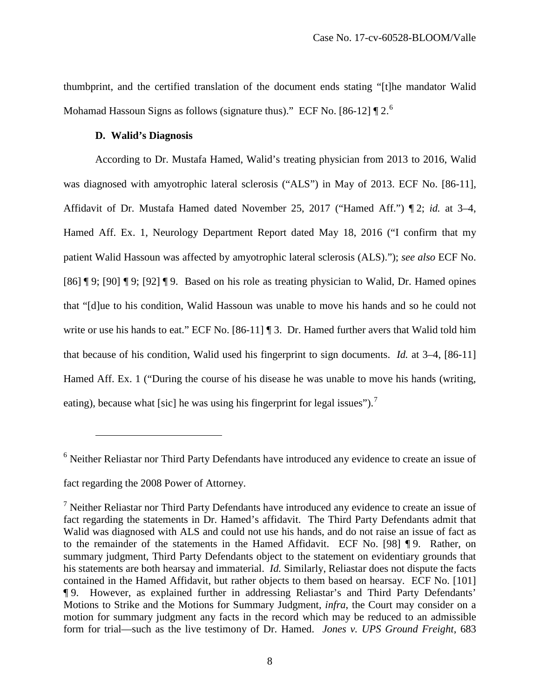thumbprint, and the certified translation of the document ends stating "[t]he mandator Walid Mohamad Hassoun Signs as follows (signature thus)." ECF No. [8[6](#page-7-0)-12]  $\P$  2.<sup>6</sup>

## **D. Walid's Diagnosis**

 $\overline{a}$ 

According to Dr. Mustafa Hamed, Walid's treating physician from 2013 to 2016, Walid was diagnosed with amyotrophic lateral sclerosis ("ALS") in May of 2013. ECF No. [86-11], Affidavit of Dr. Mustafa Hamed dated November 25, 2017 ("Hamed Aff.") ¶ 2; *id.* at 3–4, Hamed Aff. Ex. 1, Neurology Department Report dated May 18, 2016 ("I confirm that my patient Walid Hassoun was affected by amyotrophic lateral sclerosis (ALS)."); *see also* ECF No. [86] ¶ 9; [90] ¶ 9; [92] ¶ 9. Based on his role as treating physician to Walid, Dr. Hamed opines that "[d]ue to his condition, Walid Hassoun was unable to move his hands and so he could not write or use his hands to eat." ECF No. [86-11] ¶ 3. Dr. Hamed further avers that Walid told him that because of his condition, Walid used his fingerprint to sign documents. *Id.* at 3–4, [86-11] Hamed Aff. Ex. 1 ("During the course of his disease he was unable to move his hands (writing, eating), because what [sic] he was using his fingerprint for legal issues").<sup>[7](#page-7-1)</sup>

<span id="page-7-0"></span><sup>6</sup> Neither Reliastar nor Third Party Defendants have introduced any evidence to create an issue of fact regarding the 2008 Power of Attorney.

<span id="page-7-1"></span><sup>&</sup>lt;sup>7</sup> Neither Reliastar nor Third Party Defendants have introduced any evidence to create an issue of fact regarding the statements in Dr. Hamed's affidavit. The Third Party Defendants admit that Walid was diagnosed with ALS and could not use his hands, and do not raise an issue of fact as to the remainder of the statements in the Hamed Affidavit. ECF No. [98] ¶ 9. Rather, on summary judgment, Third Party Defendants object to the statement on evidentiary grounds that his statements are both hearsay and immaterial. *Id.* Similarly, Reliastar does not dispute the facts contained in the Hamed Affidavit, but rather objects to them based on hearsay. ECF No. [101] ¶ 9. However, as explained further in addressing Reliastar's and Third Party Defendants' Motions to Strike and the Motions for Summary Judgment, *infra*, the Court may consider on a motion for summary judgment any facts in the record which may be reduced to an admissible form for trial—such as the live testimony of Dr. Hamed. *Jones v. UPS Ground Freight*, 683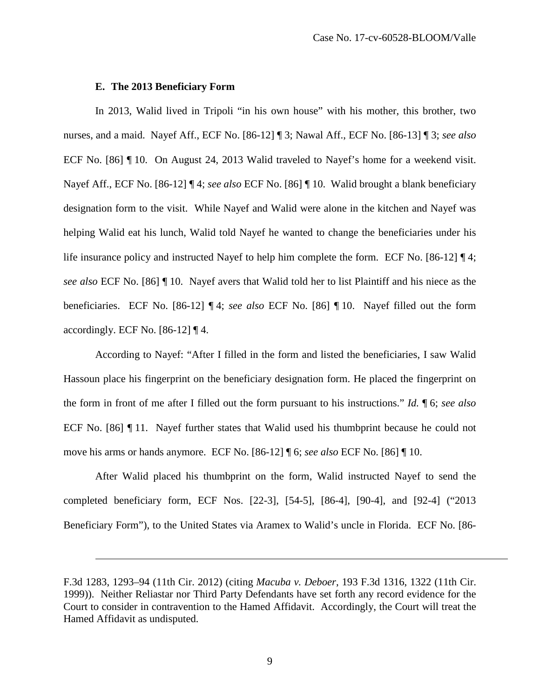#### **E. The 2013 Beneficiary Form**

-

In 2013, Walid lived in Tripoli "in his own house" with his mother, this brother, two nurses, and a maid. Nayef Aff., ECF No. [86-12] ¶ 3; Nawal Aff., ECF No. [86-13] ¶ 3; *see also*  ECF No. [86] ¶ 10. On August 24, 2013 Walid traveled to Nayef's home for a weekend visit. Nayef Aff., ECF No. [86-12] ¶ 4; *see also* ECF No. [86] ¶ 10. Walid brought a blank beneficiary designation form to the visit. While Nayef and Walid were alone in the kitchen and Nayef was helping Walid eat his lunch, Walid told Nayef he wanted to change the beneficiaries under his life insurance policy and instructed Nayef to help him complete the form. ECF No. [86-12] ¶ 4; *see also* ECF No. [86] ¶ 10. Nayef avers that Walid told her to list Plaintiff and his niece as the beneficiaries. ECF No. [86-12] ¶ 4; *see also* ECF No. [86] ¶ 10.Nayef filled out the form accordingly. ECF No. [86-12] ¶ 4.

According to Nayef: "After I filled in the form and listed the beneficiaries, I saw Walid Hassoun place his fingerprint on the beneficiary designation form. He placed the fingerprint on the form in front of me after I filled out the form pursuant to his instructions." *Id.* ¶ 6; *see also*  ECF No. [86] ¶ 11. Nayef further states that Walid used his thumbprint because he could not move his arms or hands anymore. ECF No. [86-12] ¶ 6; *see also* ECF No. [86] ¶ 10.

After Walid placed his thumbprint on the form, Walid instructed Nayef to send the completed beneficiary form, ECF Nos. [22-3], [54-5], [86-4], [90-4], and [92-4] ("2013 Beneficiary Form"), to the United States via Aramex to Walid's uncle in Florida. ECF No. [86-

F.3d 1283, 1293–94 (11th Cir. 2012) (citing *Macuba v. Deboer*, 193 F.3d 1316, 1322 (11th Cir. 1999)). Neither Reliastar nor Third Party Defendants have set forth any record evidence for the Court to consider in contravention to the Hamed Affidavit. Accordingly, the Court will treat the Hamed Affidavit as undisputed.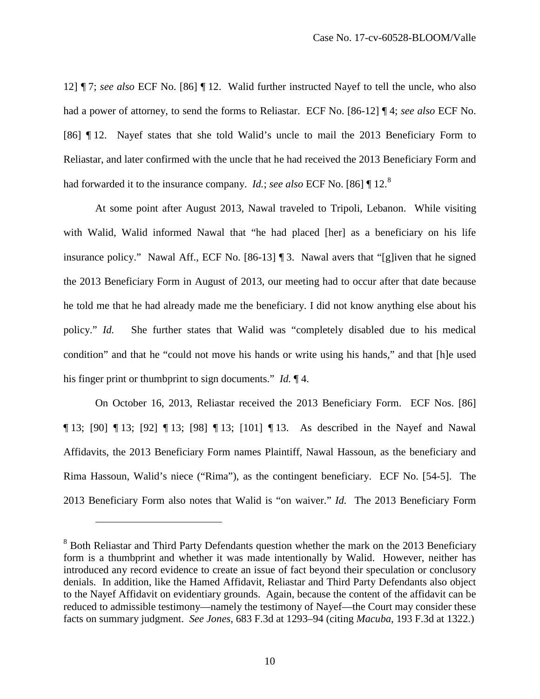12] ¶ 7; *see also* ECF No. [86] ¶ 12. Walid further instructed Nayef to tell the uncle, who also had a power of attorney, to send the forms to Reliastar. ECF No. [86-12] ¶ 4; *see also* ECF No. [86] ¶ 12. Nayef states that she told Walid's uncle to mail the 2013 Beneficiary Form to Reliastar, and later confirmed with the uncle that he had received the 2013 Beneficiary Form and had forwarded it to the insurance company. *Id.*; *see also* ECF No. [86] ¶ 12.[8](#page-9-0)

At some point after August 2013, Nawal traveled to Tripoli, Lebanon. While visiting with Walid, Walid informed Nawal that "he had placed [her] as a beneficiary on his life insurance policy." Nawal Aff., ECF No. [86-13] ¶ 3. Nawal avers that "[g]iven that he signed the 2013 Beneficiary Form in August of 2013, our meeting had to occur after that date because he told me that he had already made me the beneficiary. I did not know anything else about his policy." *Id.* She further states that Walid was "completely disabled due to his medical condition" and that he "could not move his hands or write using his hands," and that [h]e used his finger print or thumbprint to sign documents." *Id.* ¶ 4.

On October 16, 2013, Reliastar received the 2013 Beneficiary Form. ECF Nos. [86] ¶ 13; [90] ¶ 13; [92] ¶ 13; [98] ¶ 13; [101] ¶ 13. As described in the Nayef and Nawal Affidavits, the 2013 Beneficiary Form names Plaintiff, Nawal Hassoun, as the beneficiary and Rima Hassoun, Walid's niece ("Rima"), as the contingent beneficiary. ECF No. [54-5]. The 2013 Beneficiary Form also notes that Walid is "on waiver." *Id.* The 2013 Beneficiary Form

 $\overline{a}$ 

<span id="page-9-0"></span><sup>&</sup>lt;sup>8</sup> Both Reliastar and Third Party Defendants question whether the mark on the 2013 Beneficiary form is a thumbprint and whether it was made intentionally by Walid. However, neither has introduced any record evidence to create an issue of fact beyond their speculation or conclusory denials. In addition, like the Hamed Affidavit, Reliastar and Third Party Defendants also object to the Nayef Affidavit on evidentiary grounds. Again, because the content of the affidavit can be reduced to admissible testimony—namely the testimony of Nayef—the Court may consider these facts on summary judgment. *See Jones*, 683 F.3d at 1293–94 (citing *Macuba*, 193 F.3d at 1322.)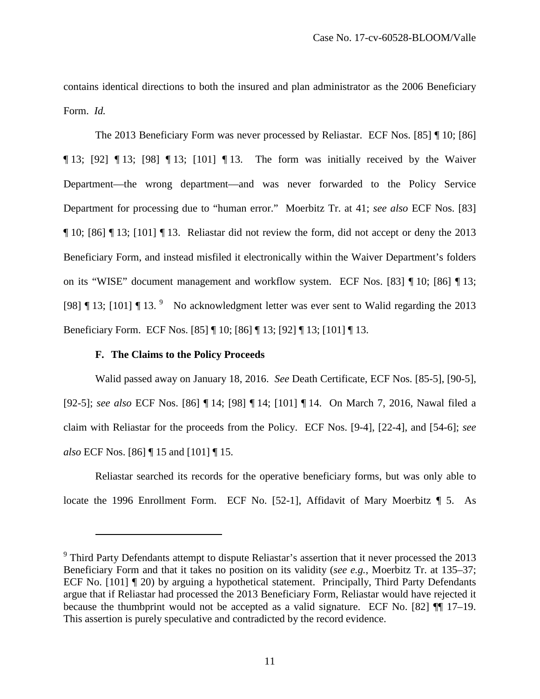contains identical directions to both the insured and plan administrator as the 2006 Beneficiary Form. *Id.* 

The 2013 Beneficiary Form was never processed by Reliastar. ECF Nos. [85] ¶ 10; [86] ¶ 13; [92] ¶ 13; [98] ¶ 13; [101] ¶ 13. The form was initially received by the Waiver Department—the wrong department—and was never forwarded to the Policy Service Department for processing due to "human error." Moerbitz Tr. at 41; *see also* ECF Nos. [83] ¶ 10; [86] ¶ 13; [101] ¶ 13. Reliastar did not review the form, did not accept or deny the 2013 Beneficiary Form, and instead misfiled it electronically within the Waiver Department's folders on its "WISE" document management and workflow system. ECF Nos. [83] ¶ 10; [86] ¶ 13; [[9](#page-10-0)8]  $\P$  13; [101]  $\P$  13. <sup>9</sup> No acknowledgment letter was ever sent to Walid regarding the 2013 Beneficiary Form. ECF Nos. [85] ¶ 10; [86] ¶ 13; [92] ¶ 13; [101] ¶ 13.

## **F. The Claims to the Policy Proceeds**

<u>.</u>

Walid passed away on January 18, 2016. *See* Death Certificate, ECF Nos. [85-5], [90-5], [92-5]; *see also* ECF Nos. [86] ¶ 14; [98] ¶ 14; [101] ¶ 14. On March 7, 2016, Nawal filed a claim with Reliastar for the proceeds from the Policy. ECF Nos. [9-4], [22-4], and [54-6]; *see also* ECF Nos. [86] ¶ 15 and [101] ¶ 15.

Reliastar searched its records for the operative beneficiary forms, but was only able to locate the 1996 Enrollment Form. ECF No. [52-1], Affidavit of Mary Moerbitz  $\P$  5. As

<span id="page-10-0"></span><sup>&</sup>lt;sup>9</sup> Third Party Defendants attempt to dispute Reliastar's assertion that it never processed the 2013 Beneficiary Form and that it takes no position on its validity (*see e.g.*, Moerbitz Tr. at 135–37; ECF No. [101] ¶ 20) by arguing a hypothetical statement. Principally, Third Party Defendants argue that if Reliastar had processed the 2013 Beneficiary Form, Reliastar would have rejected it because the thumbprint would not be accepted as a valid signature. ECF No. [82] ¶¶ 17–19. This assertion is purely speculative and contradicted by the record evidence.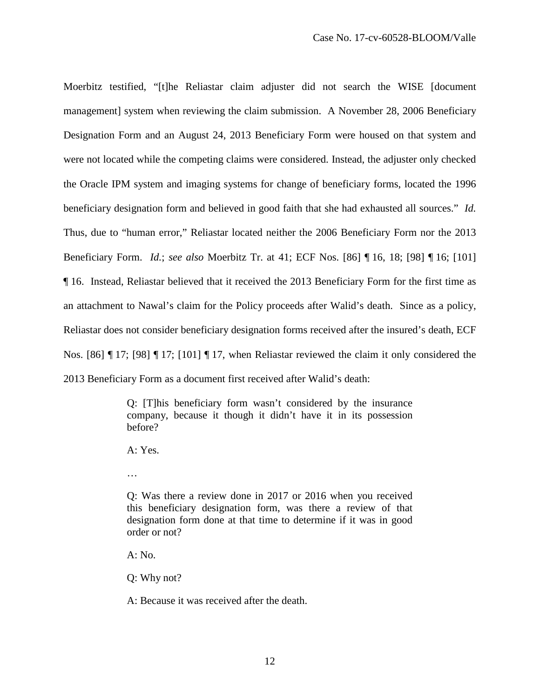Moerbitz testified, "[t]he Reliastar claim adjuster did not search the WISE [document management] system when reviewing the claim submission. A November 28, 2006 Beneficiary Designation Form and an August 24, 2013 Beneficiary Form were housed on that system and were not located while the competing claims were considered. Instead, the adjuster only checked the Oracle IPM system and imaging systems for change of beneficiary forms, located the 1996 beneficiary designation form and believed in good faith that she had exhausted all sources." *Id.* Thus, due to "human error," Reliastar located neither the 2006 Beneficiary Form nor the 2013 Beneficiary Form. *Id.*; *see also* Moerbitz Tr. at 41; ECF Nos. [86] ¶ 16, 18; [98] ¶ 16; [101] ¶ 16. Instead, Reliastar believed that it received the 2013 Beneficiary Form for the first time as an attachment to Nawal's claim for the Policy proceeds after Walid's death. Since as a policy, Reliastar does not consider beneficiary designation forms received after the insured's death, ECF Nos. [86] ¶ 17; [98] ¶ 17; [101] ¶ 17, when Reliastar reviewed the claim it only considered the 2013 Beneficiary Form as a document first received after Walid's death:

> Q: [T]his beneficiary form wasn't considered by the insurance company, because it though it didn't have it in its possession before?

A: Yes.

…

Q: Was there a review done in 2017 or 2016 when you received this beneficiary designation form, was there a review of that designation form done at that time to determine if it was in good order or not?

 $A: No.$ 

Q: Why not?

A: Because it was received after the death.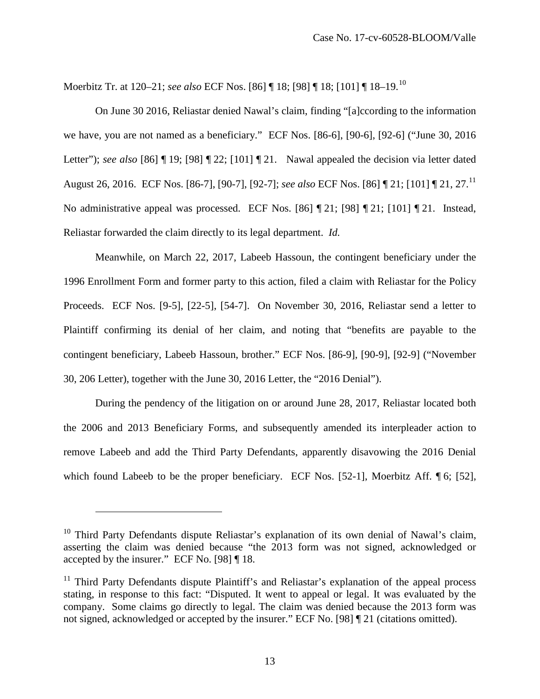Moerbitz Tr. at 120–21; *see also* ECF Nos. [86] ¶ 18; [98] ¶ 18; [101] ¶ 18–19.[10](#page-12-0)

On June 30 2016, Reliastar denied Nawal's claim, finding "[a]ccording to the information we have, you are not named as a beneficiary." ECF Nos. [86-6], [90-6], [92-6] ("June 30, 2016 Letter"); *see also* [86] ¶ 19; [98] ¶ 22; [101] ¶ 21. Nawal appealed the decision via letter dated August 26, 2016. ECF Nos. [86-7], [90-7], [92-7]; *see also* ECF Nos. [86] ¶ 21; [101] ¶ 21, 27.[11](#page-12-1) No administrative appeal was processed. ECF Nos. [86] ¶ 21; [98] ¶ 21; [101] ¶ 21. Instead, Reliastar forwarded the claim directly to its legal department. *Id.* 

Meanwhile, on March 22, 2017, Labeeb Hassoun, the contingent beneficiary under the 1996 Enrollment Form and former party to this action, filed a claim with Reliastar for the Policy Proceeds. ECF Nos. [9-5], [22-5], [54-7]. On November 30, 2016, Reliastar send a letter to Plaintiff confirming its denial of her claim, and noting that "benefits are payable to the contingent beneficiary, Labeeb Hassoun, brother." ECF Nos. [86-9], [90-9], [92-9] ("November 30, 206 Letter), together with the June 30, 2016 Letter, the "2016 Denial").

During the pendency of the litigation on or around June 28, 2017, Reliastar located both the 2006 and 2013 Beneficiary Forms, and subsequently amended its interpleader action to remove Labeeb and add the Third Party Defendants, apparently disavowing the 2016 Denial which found Labeeb to be the proper beneficiary. ECF Nos. [52-1], Moerbitz Aff. [6; [52],

 $\overline{a}$ 

<span id="page-12-0"></span><sup>&</sup>lt;sup>10</sup> Third Party Defendants dispute Reliastar's explanation of its own denial of Nawal's claim, asserting the claim was denied because "the 2013 form was not signed, acknowledged or accepted by the insurer." ECF No. [98] ¶ 18.

<span id="page-12-1"></span> $11$  Third Party Defendants dispute Plaintiff's and Reliastar's explanation of the appeal process stating, in response to this fact: "Disputed. It went to appeal or legal. It was evaluated by the company. Some claims go directly to legal. The claim was denied because the 2013 form was not signed, acknowledged or accepted by the insurer." ECF No. [98] ¶ 21 (citations omitted).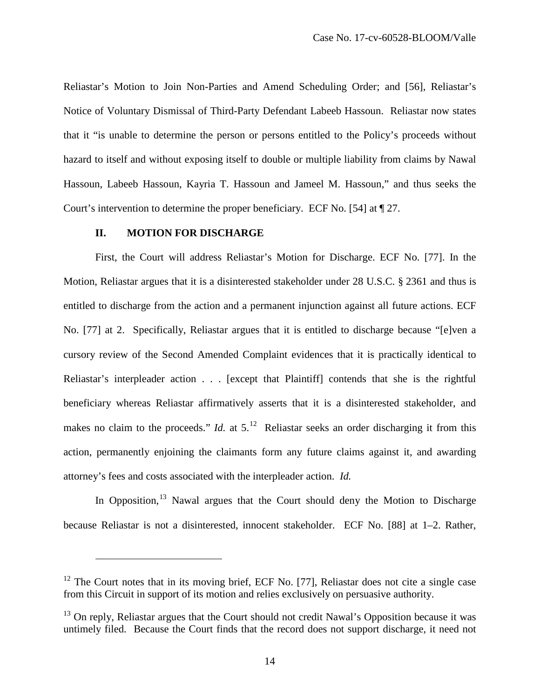Reliastar's Motion to Join Non-Parties and Amend Scheduling Order; and [56], Reliastar's Notice of Voluntary Dismissal of Third-Party Defendant Labeeb Hassoun. Reliastar now states that it "is unable to determine the person or persons entitled to the Policy's proceeds without hazard to itself and without exposing itself to double or multiple liability from claims by Nawal Hassoun, Labeeb Hassoun, Kayria T. Hassoun and Jameel M. Hassoun," and thus seeks the Court's intervention to determine the proper beneficiary. ECF No. [54] at ¶ 27.

## **II. MOTION FOR DISCHARGE**

 $\overline{a}$ 

First, the Court will address Reliastar's Motion for Discharge. ECF No. [77]. In the Motion, Reliastar argues that it is a disinterested stakeholder under 28 U.S.C. § 2361 and thus is entitled to discharge from the action and a permanent injunction against all future actions. ECF No. [77] at 2. Specifically, Reliastar argues that it is entitled to discharge because "[e]ven a cursory review of the Second Amended Complaint evidences that it is practically identical to Reliastar's interpleader action . . . [except that Plaintiff] contends that she is the rightful beneficiary whereas Reliastar affirmatively asserts that it is a disinterested stakeholder, and makes no claim to the proceeds." *Id.* at  $5<sup>12</sup>$  $5<sup>12</sup>$  $5<sup>12</sup>$  Reliastar seeks an order discharging it from this action, permanently enjoining the claimants form any future claims against it, and awarding attorney's fees and costs associated with the interpleader action. *Id.*

In Opposition,  $13$  Nawal argues that the Court should deny the Motion to Discharge because Reliastar is not a disinterested, innocent stakeholder. ECF No. [88] at 1–2. Rather,

<span id="page-13-0"></span> $12$  The Court notes that in its moving brief, ECF No. [77], Reliastar does not cite a single case from this Circuit in support of its motion and relies exclusively on persuasive authority.

<span id="page-13-1"></span><sup>&</sup>lt;sup>13</sup> On reply, Reliastar argues that the Court should not credit Nawal's Opposition because it was untimely filed. Because the Court finds that the record does not support discharge, it need not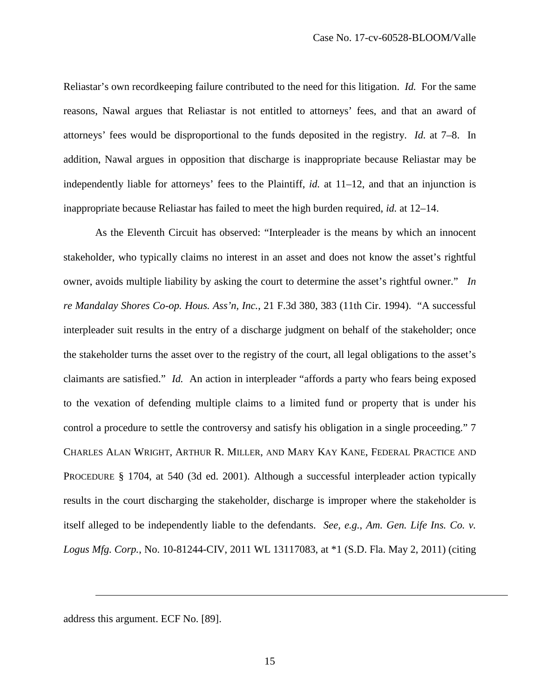Reliastar's own recordkeeping failure contributed to the need for this litigation. *Id.* For the same reasons, Nawal argues that Reliastar is not entitled to attorneys' fees, and that an award of attorneys' fees would be disproportional to the funds deposited in the registry. *Id.* at 7–8.In addition, Nawal argues in opposition that discharge is inappropriate because Reliastar may be independently liable for attorneys' fees to the Plaintiff, *id.* at 11–12, and that an injunction is inappropriate because Reliastar has failed to meet the high burden required, *id.* at 12–14.

As the Eleventh Circuit has observed: "Interpleader is the means by which an innocent stakeholder, who typically claims no interest in an asset and does not know the asset's rightful owner, avoids multiple liability by asking the court to determine the asset's rightful owner." *In re Mandalay Shores Co-op. Hous. Ass'n, Inc.*, 21 F.3d 380, 383 (11th Cir. 1994). "A successful interpleader suit results in the entry of a discharge judgment on behalf of the stakeholder; once the stakeholder turns the asset over to the registry of the court, all legal obligations to the asset's claimants are satisfied." *Id.* An action in interpleader "affords a party who fears being exposed to the vexation of defending multiple claims to a limited fund or property that is under his control a procedure to settle the controversy and satisfy his obligation in a single proceeding." 7 CHARLES ALAN WRIGHT, ARTHUR R. MILLER, AND MARY KAY KANE, FEDERAL PRACTICE AND PROCEDURE § 1704, at 540 (3d ed. 2001). Although a successful interpleader action typically results in the court discharging the stakeholder, discharge is improper where the stakeholder is itself alleged to be independently liable to the defendants. *See, e.g.*, *Am. Gen. Life Ins. Co. v. Logus Mfg. Corp.*, No. 10-81244-CIV, 2011 WL 13117083, at \*1 (S.D. Fla. May 2, 2011) (citing

address this argument. ECF No. [89].

 $\overline{a}$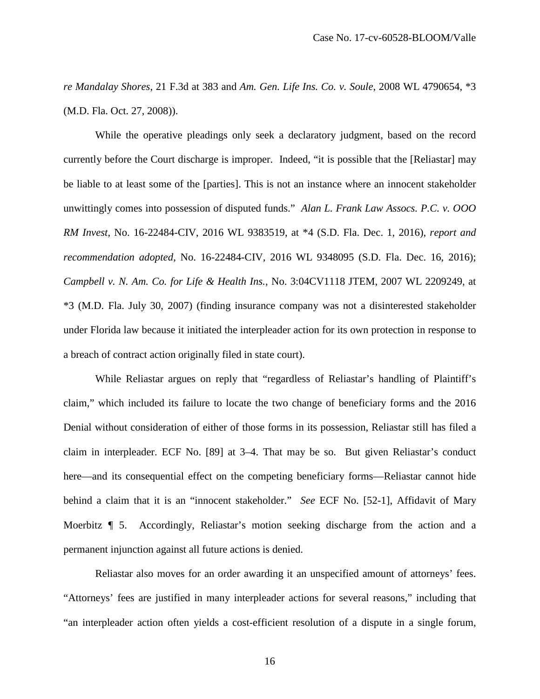*re Mandalay Shores*, 21 F.3d at 383 and *Am. Gen. Life Ins. Co. v. Soule*, 2008 WL 4790654, \*3 (M.D. Fla. Oct. 27, 2008)).

While the operative pleadings only seek a declaratory judgment, based on the record currently before the Court discharge is improper. Indeed, "it is possible that the [Reliastar] may be liable to at least some of the [parties]. This is not an instance where an innocent stakeholder unwittingly comes into possession of disputed funds." *Alan L. Frank Law Assocs. P.C. v. OOO RM Invest*, No. 16-22484-CIV, 2016 WL 9383519, at \*4 (S.D. Fla. Dec. 1, 2016), *report and recommendation adopted*, No. 16-22484-CIV, 2016 WL 9348095 (S.D. Fla. Dec. 16, 2016); *Campbell v. N. Am. Co. for Life & Health Ins.*, No. 3:04CV1118 JTEM, 2007 WL 2209249, at \*3 (M.D. Fla. July 30, 2007) (finding insurance company was not a disinterested stakeholder under Florida law because it initiated the interpleader action for its own protection in response to a breach of contract action originally filed in state court).

While Reliastar argues on reply that "regardless of Reliastar's handling of Plaintiff's claim," which included its failure to locate the two change of beneficiary forms and the 2016 Denial without consideration of either of those forms in its possession, Reliastar still has filed a claim in interpleader. ECF No. [89] at 3–4. That may be so. But given Reliastar's conduct here—and its consequential effect on the competing beneficiary forms—Reliastar cannot hide behind a claim that it is an "innocent stakeholder." *See* ECF No. [52-1], Affidavit of Mary Moerbitz ¶ 5. Accordingly, Reliastar's motion seeking discharge from the action and a permanent injunction against all future actions is denied.

Reliastar also moves for an order awarding it an unspecified amount of attorneys' fees. "Attorneys' fees are justified in many interpleader actions for several reasons," including that "an interpleader action often yields a cost-efficient resolution of a dispute in a single forum,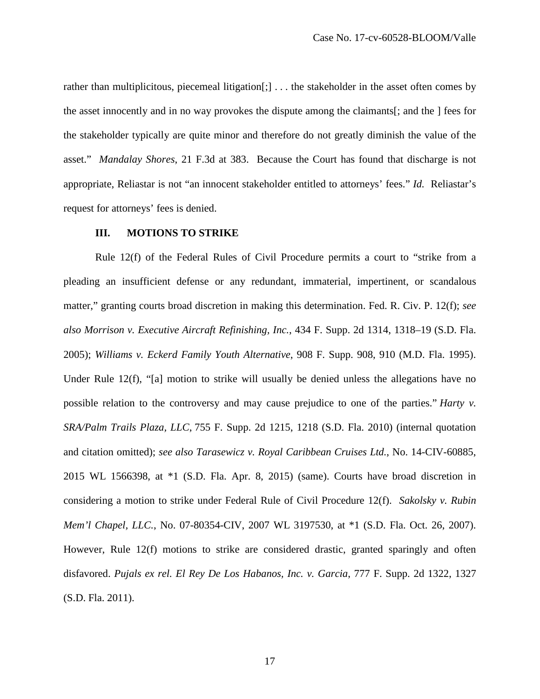rather than multiplicitous, piecemeal litigation[;] ... the stakeholder in the asset often comes by the asset innocently and in no way provokes the dispute among the claimants[; and the ] fees for the stakeholder typically are quite minor and therefore do not greatly diminish the value of the asset." *Mandalay Shores*, 21 F.3d at 383. Because the Court has found that discharge is not appropriate, Reliastar is not "an innocent stakeholder entitled to attorneys' fees." *Id.* Reliastar's request for attorneys' fees is denied.

### **III. MOTIONS TO STRIKE**

Rule 12(f) of the Federal Rules of Civil Procedure permits a court to "strike from a pleading an insufficient defense or any redundant, immaterial, impertinent, or scandalous matter," granting courts broad discretion in making this determination. Fed. R. Civ. P. 12(f); *see also Morrison v. Executive Aircraft Refinishing, Inc.*, 434 F. Supp. 2d 1314, 1318–19 (S.D. Fla. 2005); *Williams v. Eckerd Family Youth Alternative*, 908 F. Supp. 908, 910 (M.D. Fla. 1995). Under Rule 12(f), "[a] motion to strike will usually be denied unless the allegations have no possible relation to the controversy and may cause prejudice to one of the parties." *Harty v. SRA/Palm Trails Plaza, LLC*, 755 F. Supp. 2d 1215, 1218 (S.D. Fla. 2010) (internal quotation and citation omitted); *see also Tarasewicz v. Royal Caribbean Cruises Ltd.*, No. 14-CIV-60885, 2015 WL 1566398, at \*1 (S.D. Fla. Apr. 8, 2015) (same). Courts have broad discretion in considering a motion to strike under Federal Rule of Civil Procedure 12(f). *Sakolsky v. Rubin Mem'l Chapel, LLC.*, No. 07-80354-CIV, 2007 WL 3197530, at \*1 (S.D. Fla. Oct. 26, 2007). However, Rule 12(f) motions to strike are considered drastic, granted sparingly and often disfavored. *Pujals ex rel. El Rey De Los Habanos, Inc. v. Garcia*, 777 F. Supp. 2d 1322, 1327 (S.D. Fla. 2011).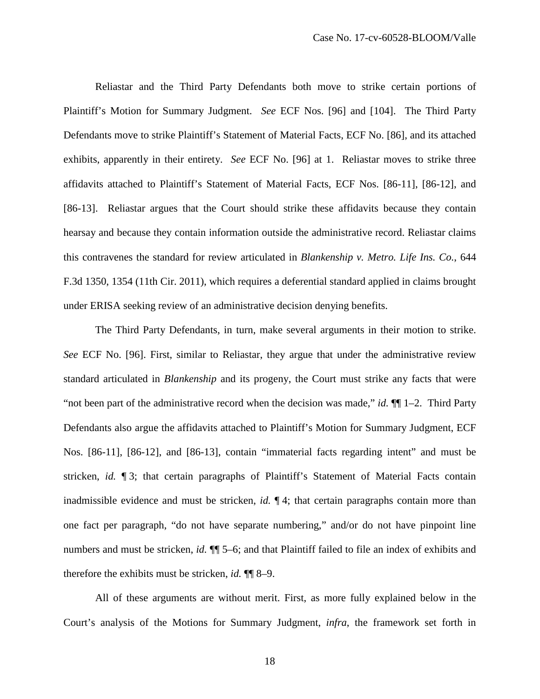Reliastar and the Third Party Defendants both move to strike certain portions of Plaintiff's Motion for Summary Judgment. *See* ECF Nos. [96] and [104]. The Third Party Defendants move to strike Plaintiff's Statement of Material Facts, ECF No. [86], and its attached exhibits, apparently in their entirety. *See* ECF No. [96] at 1. Reliastar moves to strike three affidavits attached to Plaintiff's Statement of Material Facts, ECF Nos. [86-11], [86-12], and [86-13]. Reliastar argues that the Court should strike these affidavits because they contain hearsay and because they contain information outside the administrative record. Reliastar claims this contravenes the standard for review articulated in *Blankenship v. Metro. Life Ins. Co.*, 644 F.3d 1350, 1354 (11th Cir. 2011), which requires a deferential standard applied in claims brought under ERISA seeking review of an administrative decision denying benefits.

The Third Party Defendants, in turn, make several arguments in their motion to strike. *See* ECF No. [96]. First, similar to Reliastar, they argue that under the administrative review standard articulated in *Blankenship* and its progeny, the Court must strike any facts that were "not been part of the administrative record when the decision was made," *id.* ¶¶ 1–2. Third Party Defendants also argue the affidavits attached to Plaintiff's Motion for Summary Judgment, ECF Nos. [86-11], [86-12], and [86-13], contain "immaterial facts regarding intent" and must be stricken, *id.* ¶ 3; that certain paragraphs of Plaintiff's Statement of Material Facts contain inadmissible evidence and must be stricken, *id.* ¶ 4; that certain paragraphs contain more than one fact per paragraph, "do not have separate numbering," and/or do not have pinpoint line numbers and must be stricken, *id.* ¶¶ 5–6; and that Plaintiff failed to file an index of exhibits and therefore the exhibits must be stricken, *id.* ¶¶ 8–9.

All of these arguments are without merit. First, as more fully explained below in the Court's analysis of the Motions for Summary Judgment, *infra*, the framework set forth in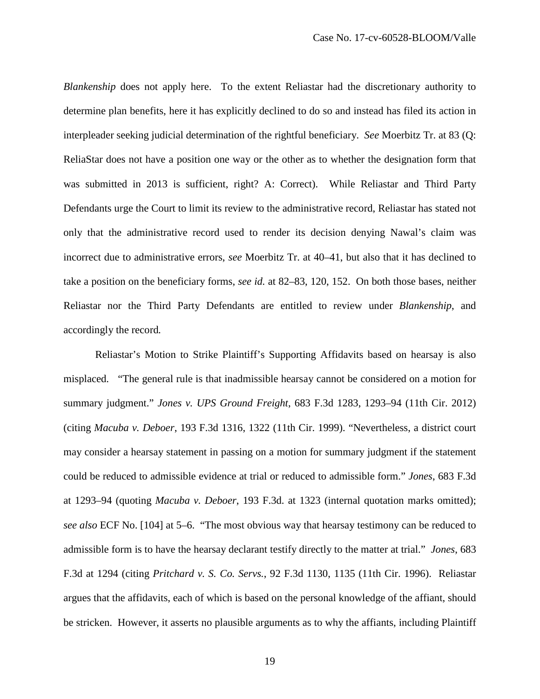*Blankenship* does not apply here. To the extent Reliastar had the discretionary authority to determine plan benefits, here it has explicitly declined to do so and instead has filed its action in interpleader seeking judicial determination of the rightful beneficiary. *See* Moerbitz Tr. at 83 (Q: ReliaStar does not have a position one way or the other as to whether the designation form that was submitted in 2013 is sufficient, right? A: Correct). While Reliastar and Third Party Defendants urge the Court to limit its review to the administrative record, Reliastar has stated not only that the administrative record used to render its decision denying Nawal's claim was incorrect due to administrative errors, *see* Moerbitz Tr. at 40–41, but also that it has declined to take a position on the beneficiary forms, *see id.* at 82–83, 120, 152. On both those bases, neither Reliastar nor the Third Party Defendants are entitled to review under *Blankenship*, and accordingly the record*.* 

Reliastar's Motion to Strike Plaintiff's Supporting Affidavits based on hearsay is also misplaced. "The general rule is that inadmissible hearsay cannot be considered on a motion for summary judgment." *Jones v. UPS Ground Freight*, 683 F.3d 1283, 1293–94 (11th Cir. 2012) (citing *Macuba v. Deboer*, 193 F.3d 1316, 1322 (11th Cir. 1999). "Nevertheless, a district court may consider a hearsay statement in passing on a motion for summary judgment if the statement could be reduced to admissible evidence at trial or reduced to admissible form." *Jones*, 683 F.3d at 1293–94 (quoting *Macuba v. Deboer*, 193 F.3d. at 1323 (internal quotation marks omitted); *see also* ECF No. [104] at 5–6. "The most obvious way that hearsay testimony can be reduced to admissible form is to have the hearsay declarant testify directly to the matter at trial." *Jones*, 683 F.3d at 1294 (citing *Pritchard v. S. Co. Servs.*, 92 F.3d 1130, 1135 (11th Cir. 1996). Reliastar argues that the affidavits, each of which is based on the personal knowledge of the affiant, should be stricken. However, it asserts no plausible arguments as to why the affiants, including Plaintiff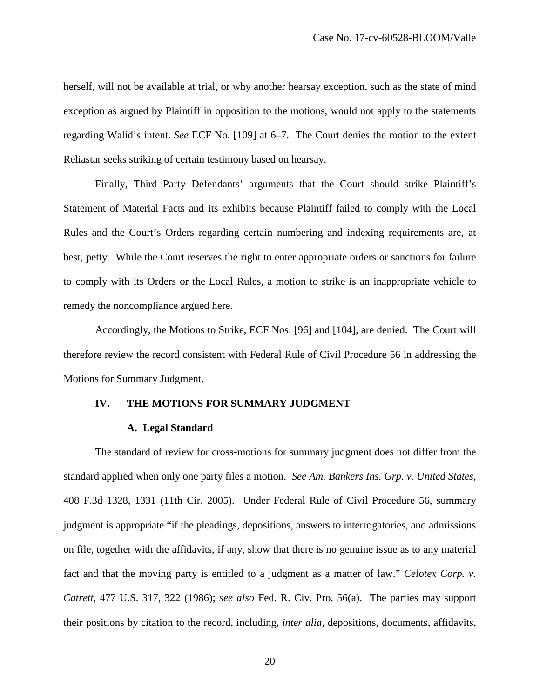herself, will not be available at trial, or why another hearsay exception, such as the state of mind exception as argued by Plaintiff in opposition to the motions, would not apply to the statements regarding Walid's intent. *See* ECF No. [109] at 6–7. The Court denies the motion to the extent Reliastar seeks striking of certain testimony based on hearsay.

Finally, Third Party Defendants' arguments that the Court should strike Plaintiff's Statement of Material Facts and its exhibits because Plaintiff failed to comply with the Local Rules and the Court's Orders regarding certain numbering and indexing requirements are, at best, petty. While the Court reserves the right to enter appropriate orders or sanctions for failure to comply with its Orders or the Local Rules, a motion to strike is an inappropriate vehicle to remedy the noncompliance argued here.

Accordingly, the Motions to Strike, ECF Nos. [96] and [104], are denied. The Court will therefore review the record consistent with Federal Rule of Civil Procedure 56 in addressing the Motions for Summary Judgment.

#### **IV. THE MOTIONS FOR SUMMARY JUDGMENT**

#### **A. Legal Standard**

The standard of review for cross-motions for summary judgment does not differ from the standard applied when only one party files a motion. *See Am. Bankers Ins. Grp. v. United States*, 408 F.3d 1328, 1331 (11th Cir. 2005). Under Federal Rule of Civil Procedure 56, summary judgment is appropriate "if the pleadings, depositions, answers to interrogatories, and admissions on file, together with the affidavits, if any, show that there is no genuine issue as to any material fact and that the moving party is entitled to a judgment as a matter of law." *Celotex Corp. v. Catrett*, 477 U.S. 317, 322 (1986); *see also* Fed. R. Civ. Pro. 56(a). The parties may support their positions by citation to the record, including, *inter alia*, depositions, documents, affidavits,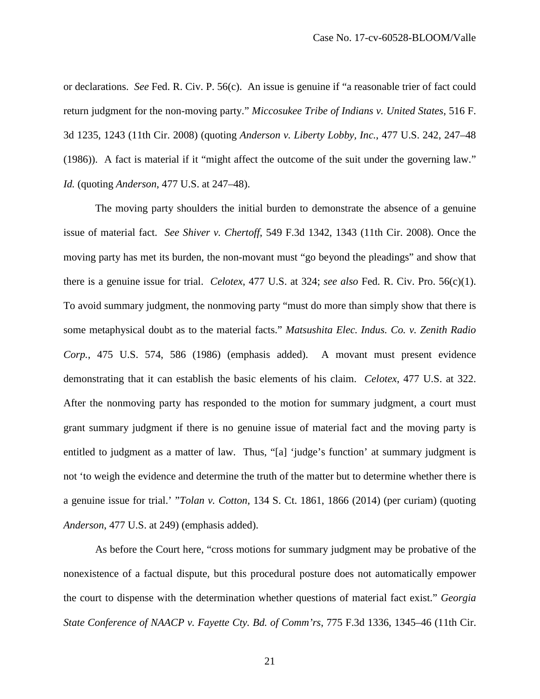or declarations. *See* Fed. R. Civ. P. 56(c). An issue is genuine if "a reasonable trier of fact could return judgment for the non-moving party." *Miccosukee Tribe of Indians v. United States*, 516 F. 3d 1235, 1243 (11th Cir. 2008) (quoting *Anderson v. Liberty Lobby, Inc.*, 477 U.S. 242, 247–48 (1986)). A fact is material if it "might affect the outcome of the suit under the governing law." *Id.* (quoting *Anderson*, 477 U.S. at 247–48).

The moving party shoulders the initial burden to demonstrate the absence of a genuine issue of material fact. *See Shiver v. Chertoff*, 549 F.3d 1342, 1343 (11th Cir. 2008). Once the moving party has met its burden, the non-movant must "go beyond the pleadings" and show that there is a genuine issue for trial. *Celotex*, 477 U.S. at 324; *see also* Fed. R. Civ. Pro. 56(c)(1). To avoid summary judgment, the nonmoving party "must do more than simply show that there is some metaphysical doubt as to the material facts." *Matsushita Elec. Indus. Co. v. Zenith Radio Corp.*, 475 U.S. 574, 586 (1986) (emphasis added). A movant must present evidence demonstrating that it can establish the basic elements of his claim. *Celotex*, 477 U.S. at 322. After the nonmoving party has responded to the motion for summary judgment, a court must grant summary judgment if there is no genuine issue of material fact and the moving party is entitled to judgment as a matter of law. Thus, "[a] 'judge's function' at summary judgment is not 'to weigh the evidence and determine the truth of the matter but to determine whether there is a genuine issue for trial.' "*Tolan v. Cotton*, 134 S. Ct. 1861, 1866 (2014) (per curiam) (quoting *Anderson*, 477 U.S. at 249) (emphasis added).

As before the Court here, "cross motions for summary judgment may be probative of the nonexistence of a factual dispute, but this procedural posture does not automatically empower the court to dispense with the determination whether questions of material fact exist." *Georgia State Conference of NAACP v. Fayette Cty. Bd. of Comm'rs*, 775 F.3d 1336, 1345–46 (11th Cir.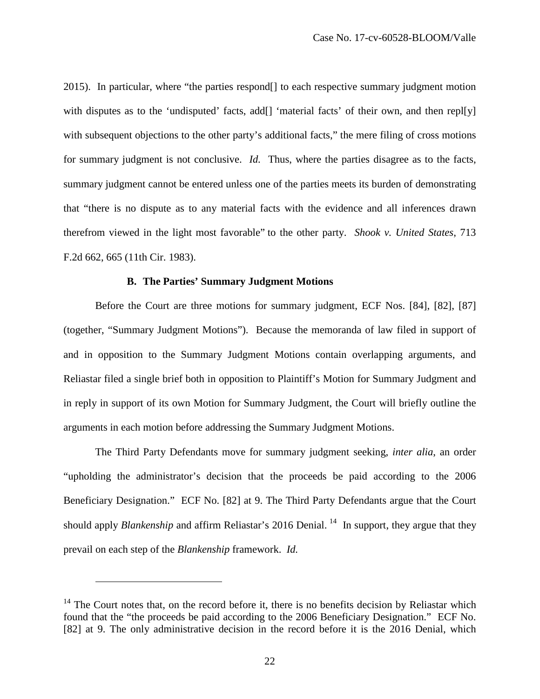2015). In particular, where "the parties respond[] to each respective summary judgment motion with disputes as to the 'undisputed' facts, add[] 'material facts' of their own, and then repl[y] with subsequent objections to the other party's additional facts," the mere filing of cross motions for summary judgment is not conclusive. *Id.* Thus, where the parties disagree as to the facts, summary judgment cannot be entered unless one of the parties meets its burden of demonstrating that "there is no dispute as to any material facts with the evidence and all inferences drawn therefrom viewed in the light most favorable" to the other party. *Shook v. United States*, 713 F.2d 662, 665 (11th Cir. 1983).

## **B. The Parties' Summary Judgment Motions**

Before the Court are three motions for summary judgment, ECF Nos. [84], [82], [87] (together, "Summary Judgment Motions"). Because the memoranda of law filed in support of and in opposition to the Summary Judgment Motions contain overlapping arguments, and Reliastar filed a single brief both in opposition to Plaintiff's Motion for Summary Judgment and in reply in support of its own Motion for Summary Judgment, the Court will briefly outline the arguments in each motion before addressing the Summary Judgment Motions.

The Third Party Defendants move for summary judgment seeking, *inter alia*, an order "upholding the administrator's decision that the proceeds be paid according to the 2006 Beneficiary Designation." ECF No. [82] at 9. The Third Party Defendants argue that the Court should apply *Blankenship* and affirm Reliastar's 2016 Denial.<sup>[14](#page-21-0)</sup> In support, they argue that they prevail on each step of the *Blankenship* framework. *Id.*

 $\overline{a}$ 

<span id="page-21-0"></span> $14$  The Court notes that, on the record before it, there is no benefits decision by Reliastar which found that the "the proceeds be paid according to the 2006 Beneficiary Designation." ECF No. [82] at 9. The only administrative decision in the record before it is the 2016 Denial, which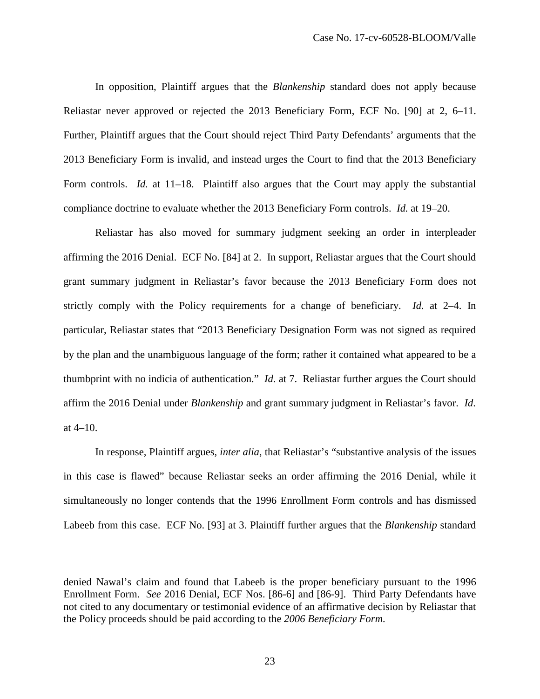In opposition, Plaintiff argues that the *Blankenship* standard does not apply because Reliastar never approved or rejected the 2013 Beneficiary Form, ECF No. [90] at 2, 6–11. Further, Plaintiff argues that the Court should reject Third Party Defendants' arguments that the 2013 Beneficiary Form is invalid, and instead urges the Court to find that the 2013 Beneficiary Form controls. *Id.* at 11–18. Plaintiff also argues that the Court may apply the substantial compliance doctrine to evaluate whether the 2013 Beneficiary Form controls. *Id.* at 19–20.

Reliastar has also moved for summary judgment seeking an order in interpleader affirming the 2016 Denial. ECF No. [84] at 2. In support, Reliastar argues that the Court should grant summary judgment in Reliastar's favor because the 2013 Beneficiary Form does not strictly comply with the Policy requirements for a change of beneficiary. *Id.* at 2–4. In particular, Reliastar states that "2013 Beneficiary Designation Form was not signed as required by the plan and the unambiguous language of the form; rather it contained what appeared to be a thumbprint with no indicia of authentication." *Id.* at 7.Reliastar further argues the Court should affirm the 2016 Denial under *Blankenship* and grant summary judgment in Reliastar's favor. *Id.*  at 4–10.

In response, Plaintiff argues, *inter alia*, that Reliastar's "substantive analysis of the issues in this case is flawed" because Reliastar seeks an order affirming the 2016 Denial, while it simultaneously no longer contends that the 1996 Enrollment Form controls and has dismissed Labeeb from this case. ECF No. [93] at 3. Plaintiff further argues that the *Blankenship* standard

-

denied Nawal's claim and found that Labeeb is the proper beneficiary pursuant to the 1996 Enrollment Form. *See* 2016 Denial, ECF Nos. [86-6] and [86-9]. Third Party Defendants have not cited to any documentary or testimonial evidence of an affirmative decision by Reliastar that the Policy proceeds should be paid according to the *2006 Beneficiary Form.*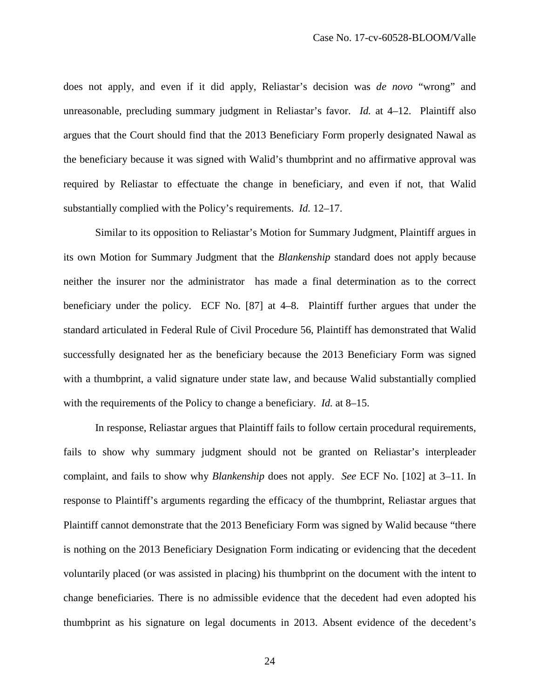does not apply, and even if it did apply, Reliastar's decision was *de novo* "wrong" and unreasonable, precluding summary judgment in Reliastar's favor. *Id.* at 4–12. Plaintiff also argues that the Court should find that the 2013 Beneficiary Form properly designated Nawal as the beneficiary because it was signed with Walid's thumbprint and no affirmative approval was required by Reliastar to effectuate the change in beneficiary, and even if not, that Walid substantially complied with the Policy's requirements. *Id.* 12–17.

Similar to its opposition to Reliastar's Motion for Summary Judgment, Plaintiff argues in its own Motion for Summary Judgment that the *Blankenship* standard does not apply because neither the insurer nor the administrator has made a final determination as to the correct beneficiary under the policy. ECF No. [87] at 4–8. Plaintiff further argues that under the standard articulated in Federal Rule of Civil Procedure 56, Plaintiff has demonstrated that Walid successfully designated her as the beneficiary because the 2013 Beneficiary Form was signed with a thumbprint, a valid signature under state law, and because Walid substantially complied with the requirements of the Policy to change a beneficiary. *Id.* at 8–15.

In response, Reliastar argues that Plaintiff fails to follow certain procedural requirements, fails to show why summary judgment should not be granted on Reliastar's interpleader complaint, and fails to show why *Blankenship* does not apply. *See* ECF No. [102] at 3–11. In response to Plaintiff's arguments regarding the efficacy of the thumbprint, Reliastar argues that Plaintiff cannot demonstrate that the 2013 Beneficiary Form was signed by Walid because "there is nothing on the 2013 Beneficiary Designation Form indicating or evidencing that the decedent voluntarily placed (or was assisted in placing) his thumbprint on the document with the intent to change beneficiaries. There is no admissible evidence that the decedent had even adopted his thumbprint as his signature on legal documents in 2013. Absent evidence of the decedent's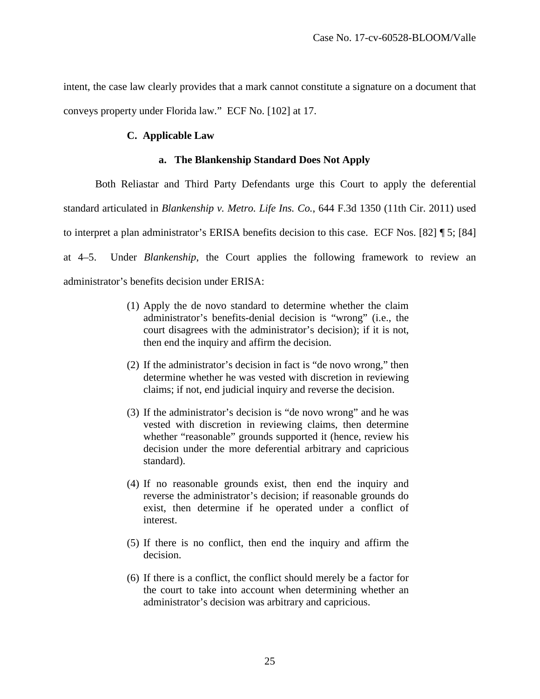intent, the case law clearly provides that a mark cannot constitute a signature on a document that conveys property under Florida law." ECF No. [102] at 17.

# **C. Applicable Law**

## **a. The Blankenship Standard Does Not Apply**

Both Reliastar and Third Party Defendants urge this Court to apply the deferential standard articulated in *Blankenship v. Metro. Life Ins. Co.*, 644 F.3d 1350 (11th Cir. 2011) used to interpret a plan administrator's ERISA benefits decision to this case. ECF Nos. [82] ¶ 5; [84] at 4–5. Under *Blankenship*, the Court applies the following framework to review an administrator's benefits decision under ERISA:

- (1) Apply the de novo standard to determine whether the claim administrator's benefits-denial decision is "wrong" (i.e., the court disagrees with the administrator's decision); if it is not, then end the inquiry and affirm the decision.
- (2) If the administrator's decision in fact is "de novo wrong," then determine whether he was vested with discretion in reviewing claims; if not, end judicial inquiry and reverse the decision.
- (3) If the administrator's decision is "de novo wrong" and he was vested with discretion in reviewing claims, then determine whether "reasonable" grounds supported it (hence, review his decision under the more deferential arbitrary and capricious standard).
- (4) If no reasonable grounds exist, then end the inquiry and reverse the administrator's decision; if reasonable grounds do exist, then determine if he operated under a conflict of interest.
- (5) If there is no conflict, then end the inquiry and affirm the decision.
- (6) If there is a conflict, the conflict should merely be a factor for the court to take into account when determining whether an administrator's decision was arbitrary and capricious.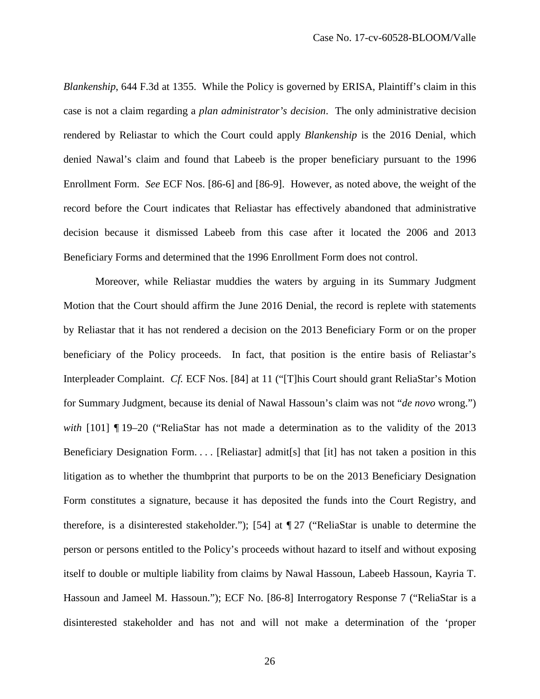*Blankenship*, 644 F.3d at 1355. While the Policy is governed by ERISA, Plaintiff's claim in this case is not a claim regarding a *plan administrator's decision*. The only administrative decision rendered by Reliastar to which the Court could apply *Blankenship* is the 2016 Denial, which denied Nawal's claim and found that Labeeb is the proper beneficiary pursuant to the 1996 Enrollment Form. *See* ECF Nos. [86-6] and [86-9]. However, as noted above, the weight of the record before the Court indicates that Reliastar has effectively abandoned that administrative decision because it dismissed Labeeb from this case after it located the 2006 and 2013 Beneficiary Forms and determined that the 1996 Enrollment Form does not control.

Moreover, while Reliastar muddies the waters by arguing in its Summary Judgment Motion that the Court should affirm the June 2016 Denial, the record is replete with statements by Reliastar that it has not rendered a decision on the 2013 Beneficiary Form or on the proper beneficiary of the Policy proceeds. In fact, that position is the entire basis of Reliastar's Interpleader Complaint. *Cf.* ECF Nos. [84] at 11 ("[T]his Court should grant ReliaStar's Motion for Summary Judgment, because its denial of Nawal Hassoun's claim was not "*de novo* wrong.") *with* [101] ¶ 19–20 ("ReliaStar has not made a determination as to the validity of the 2013 Beneficiary Designation Form. . . . [Reliastar] admit[s] that [it] has not taken a position in this litigation as to whether the thumbprint that purports to be on the 2013 Beneficiary Designation Form constitutes a signature, because it has deposited the funds into the Court Registry, and therefore, is a disinterested stakeholder."); [54] at ¶ 27 ("ReliaStar is unable to determine the person or persons entitled to the Policy's proceeds without hazard to itself and without exposing itself to double or multiple liability from claims by Nawal Hassoun, Labeeb Hassoun, Kayria T. Hassoun and Jameel M. Hassoun."); ECF No. [86-8] Interrogatory Response 7 ("ReliaStar is a disinterested stakeholder and has not and will not make a determination of the 'proper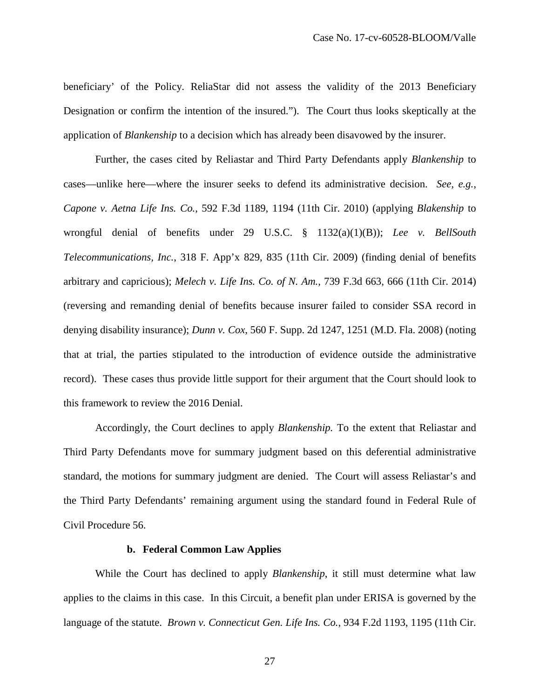beneficiary' of the Policy. ReliaStar did not assess the validity of the 2013 Beneficiary Designation or confirm the intention of the insured."). The Court thus looks skeptically at the application of *Blankenship* to a decision which has already been disavowed by the insurer.

Further, the cases cited by Reliastar and Third Party Defendants apply *Blankenship* to cases—unlike here—where the insurer seeks to defend its administrative decision. *See, e.g.*, *Capone v. Aetna Life Ins. Co.*, 592 F.3d 1189, 1194 (11th Cir. 2010) (applying *Blakenship* to wrongful denial of benefits under 29 U.S.C. § 1132(a)(1)(B)); *Lee v. BellSouth Telecommunications, Inc.*, 318 F. App'x 829, 835 (11th Cir. 2009) (finding denial of benefits arbitrary and capricious); *Melech v. Life Ins. Co. of N. Am.*, 739 F.3d 663, 666 (11th Cir. 2014) (reversing and remanding denial of benefits because insurer failed to consider SSA record in denying disability insurance); *Dunn v. Cox*, 560 F. Supp. 2d 1247, 1251 (M.D. Fla. 2008) (noting that at trial, the parties stipulated to the introduction of evidence outside the administrative record). These cases thus provide little support for their argument that the Court should look to this framework to review the 2016 Denial.

Accordingly, the Court declines to apply *Blankenship.* To the extent that Reliastar and Third Party Defendants move for summary judgment based on this deferential administrative standard, the motions for summary judgment are denied. The Court will assess Reliastar's and the Third Party Defendants' remaining argument using the standard found in Federal Rule of Civil Procedure 56.

### **b. Federal Common Law Applies**

While the Court has declined to apply *Blankenship*, it still must determine what law applies to the claims in this case. In this Circuit, a benefit plan under ERISA is governed by the language of the statute. *Brown v. Connecticut Gen. Life Ins. Co.*, 934 F.2d 1193, 1195 (11th Cir.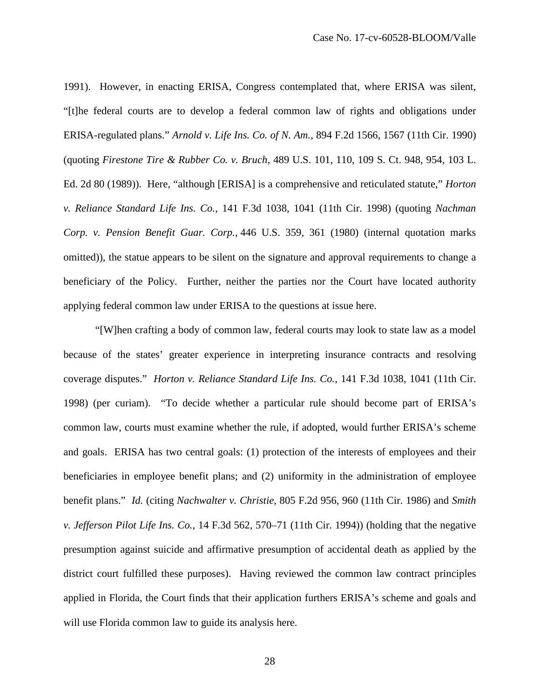1991). However, in enacting ERISA, Congress contemplated that, where ERISA was silent, "[t]he federal courts are to develop a federal common law of rights and obligations under ERISA-regulated plans." *Arnold v. Life Ins. Co. of N. Am.*, 894 F.2d 1566, 1567 (11th Cir. 1990) (quoting *Firestone Tire & Rubber Co. v. Bruch*, 489 U.S. 101, 110, 109 S. Ct. 948, 954, 103 L. Ed. 2d 80 (1989)). Here, "although [ERISA] is a comprehensive and reticulated statute," *Horton v. Reliance Standard Life Ins. Co.*, 141 F.3d 1038, 1041 (11th Cir. 1998) (quoting *Nachman Corp. v. Pension Benefit Guar. Corp.*, 446 U.S. 359, 361 (1980) (internal quotation marks omitted)), the statue appears to be silent on the signature and approval requirements to change a beneficiary of the Policy. Further, neither the parties nor the Court have located authority applying federal common law under ERISA to the questions at issue here.

"[W]hen crafting a body of common law, federal courts may look to state law as a model because of the states' greater experience in interpreting insurance contracts and resolving coverage disputes." *Horton v. Reliance Standard Life Ins. Co.*, 141 F.3d 1038, 1041 (11th Cir. 1998) (per curiam). "To decide whether a particular rule should become part of ERISA's common law, courts must examine whether the rule, if adopted, would further ERISA's scheme and goals. ERISA has two central goals: (1) protection of the interests of employees and their beneficiaries in employee benefit plans; and (2) uniformity in the administration of employee benefit plans." *Id.* (citing *Nachwalter v. Christie*, 805 F.2d 956, 960 (11th Cir. 1986) and *Smith v. Jefferson Pilot Life Ins. Co.*, 14 F.3d 562, 570–71 (11th Cir. 1994)) (holding that the negative presumption against suicide and affirmative presumption of accidental death as applied by the district court fulfilled these purposes). Having reviewed the common law contract principles applied in Florida, the Court finds that their application furthers ERISA's scheme and goals and will use Florida common law to guide its analysis here.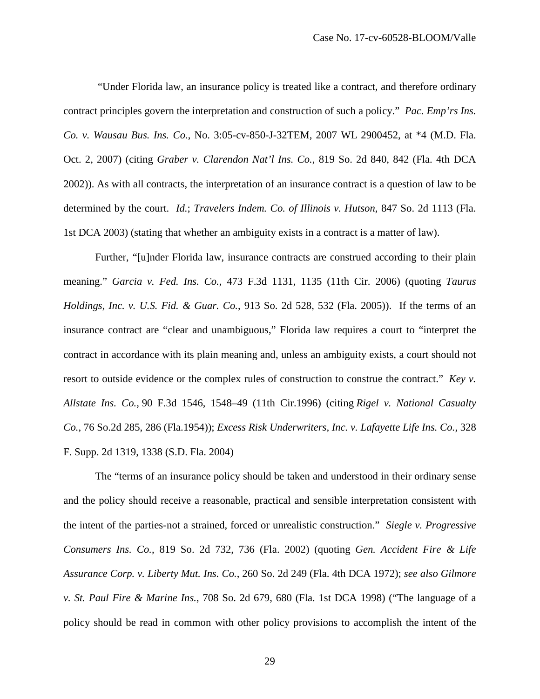"Under Florida law, an insurance policy is treated like a contract, and therefore ordinary contract principles govern the interpretation and construction of such a policy." *Pac. Emp'rs Ins. Co. v. Wausau Bus. Ins. Co.*, No. 3:05-cv-850-J-32TEM, 2007 WL 2900452, at \*4 (M.D. Fla. Oct. 2, 2007) (citing *Graber v. Clarendon Nat'l Ins. Co.*, 819 So. 2d 840, 842 (Fla. 4th DCA 2002)). As with all contracts, the interpretation of an insurance contract is a question of law to be determined by the court. *Id.*; *Travelers Indem. Co. of Illinois v. Hutson*, 847 So. 2d 1113 (Fla. 1st DCA 2003) (stating that whether an ambiguity exists in a contract is a matter of law).

Further, "[u]nder Florida law, insurance contracts are construed according to their plain meaning." *Garcia v. Fed. Ins. Co.*, 473 F.3d 1131, 1135 (11th Cir. 2006) (quoting *Taurus Holdings, Inc. v. U.S. Fid. & Guar. Co.*, 913 So. 2d 528, 532 (Fla. 2005)). If the terms of an insurance contract are "clear and unambiguous," Florida law requires a court to "interpret the contract in accordance with its plain meaning and, unless an ambiguity exists, a court should not resort to outside evidence or the complex rules of construction to construe the contract." *Key v. Allstate Ins. Co.,* 90 F.3d 1546, 1548–49 (11th Cir.1996) (citing *Rigel v. National Casualty Co.*, 76 So.2d 285, 286 (Fla.1954)); *Excess Risk Underwriters, Inc. v. Lafayette Life Ins. Co.*, 328 F. Supp. 2d 1319, 1338 (S.D. Fla. 2004)

The "terms of an insurance policy should be taken and understood in their ordinary sense and the policy should receive a reasonable, practical and sensible interpretation consistent with the intent of the parties-not a strained, forced or unrealistic construction." *Siegle v. Progressive Consumers Ins. Co.*, 819 So. 2d 732, 736 (Fla. 2002) (quoting *Gen. Accident Fire & Life Assurance Corp. v. Liberty Mut. Ins. Co.*, 260 So. 2d 249 (Fla. 4th DCA 1972); *see also Gilmore v. St. Paul Fire & Marine Ins.*, 708 So. 2d 679, 680 (Fla. 1st DCA 1998) ("The language of a policy should be read in common with other policy provisions to accomplish the intent of the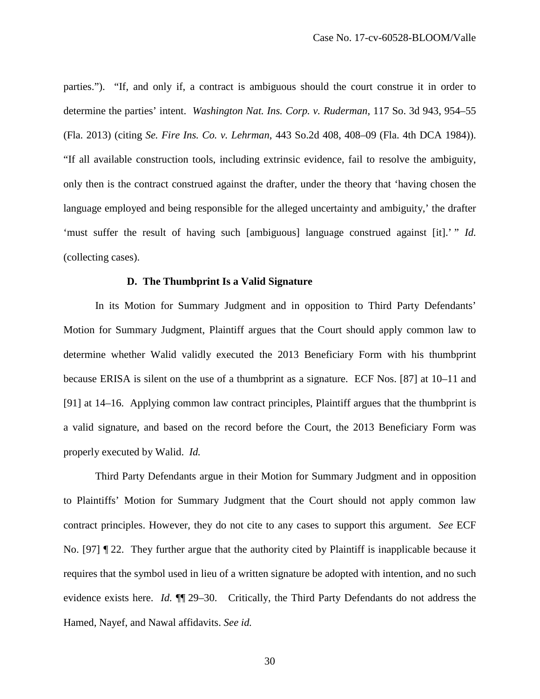parties."). "If, and only if, a contract is ambiguous should the court construe it in order to determine the parties' intent. *Washington Nat. Ins. Corp. v. Ruderman*, 117 So. 3d 943, 954–55 (Fla. 2013) (citing *Se. Fire Ins. Co. v. Lehrman*, 443 So.2d 408, 408–09 (Fla. 4th DCA 1984)). "If all available construction tools, including extrinsic evidence, fail to resolve the ambiguity, only then is the contract construed against the drafter, under the theory that 'having chosen the language employed and being responsible for the alleged uncertainty and ambiguity,' the drafter 'must suffer the result of having such [ambiguous] language construed against [it].' " *Id.*  (collecting cases).

# **D. The Thumbprint Is a Valid Signature**

In its Motion for Summary Judgment and in opposition to Third Party Defendants' Motion for Summary Judgment, Plaintiff argues that the Court should apply common law to determine whether Walid validly executed the 2013 Beneficiary Form with his thumbprint because ERISA is silent on the use of a thumbprint as a signature. ECF Nos. [87] at 10–11 and [91] at 14–16. Applying common law contract principles, Plaintiff argues that the thumbprint is a valid signature, and based on the record before the Court, the 2013 Beneficiary Form was properly executed by Walid. *Id.* 

Third Party Defendants argue in their Motion for Summary Judgment and in opposition to Plaintiffs' Motion for Summary Judgment that the Court should not apply common law contract principles. However, they do not cite to any cases to support this argument. *See* ECF No. [97] ¶ 22. They further argue that the authority cited by Plaintiff is inapplicable because it requires that the symbol used in lieu of a written signature be adopted with intention, and no such evidence exists here. *Id.* **[14.** 29–30. Critically, the Third Party Defendants do not address the Hamed, Nayef, and Nawal affidavits. *See id.*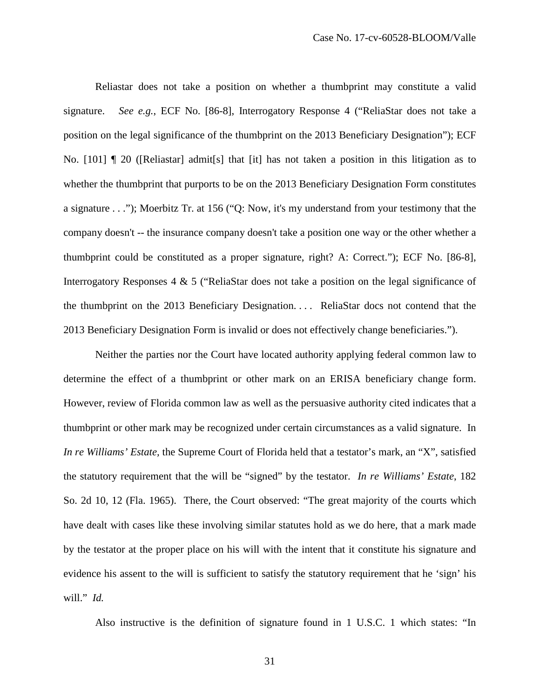Reliastar does not take a position on whether a thumbprint may constitute a valid signature. *See e.g.*, ECF No. [86-8], Interrogatory Response 4 ("ReliaStar does not take a position on the legal significance of the thumbprint on the 2013 Beneficiary Designation"); ECF No. [101] ¶ 20 ([Reliastar] admit[s] that [it] has not taken a position in this litigation as to whether the thumbprint that purports to be on the 2013 Beneficiary Designation Form constitutes a signature . . ."); Moerbitz Tr. at 156 ("Q: Now, it's my understand from your testimony that the company doesn't -- the insurance company doesn't take a position one way or the other whether a thumbprint could be constituted as a proper signature, right? A: Correct."); ECF No. [86-8], Interrogatory Responses 4 & 5 ("ReliaStar does not take a position on the legal significance of the thumbprint on the 2013 Beneficiary Designation. . . . ReliaStar docs not contend that the 2013 Beneficiary Designation Form is invalid or does not effectively change beneficiaries.").

Neither the parties nor the Court have located authority applying federal common law to determine the effect of a thumbprint or other mark on an ERISA beneficiary change form. However, review of Florida common law as well as the persuasive authority cited indicates that a thumbprint or other mark may be recognized under certain circumstances as a valid signature. In *In re Williams' Estate,* the Supreme Court of Florida held that a testator's mark, an "X", satisfied the statutory requirement that the will be "signed" by the testator. *In re Williams' Estate*, 182 So. 2d 10, 12 (Fla. 1965). There, the Court observed: "The great majority of the courts which have dealt with cases like these involving similar statutes hold as we do here, that a mark made by the testator at the proper place on his will with the intent that it constitute his signature and evidence his assent to the will is sufficient to satisfy the statutory requirement that he 'sign' his will." *Id.* 

Also instructive is the definition of signature found in 1 U.S.C. 1 which states: "In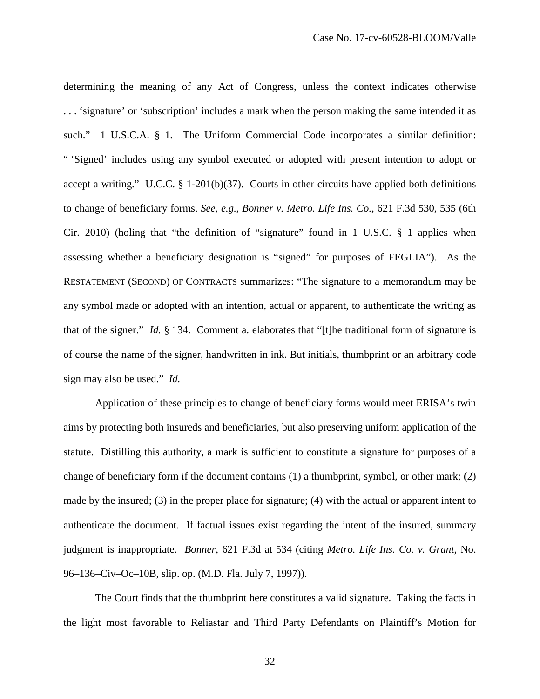determining the meaning of any Act of Congress, unless the context indicates otherwise . . . 'signature' or 'subscription' includes a mark when the person making the same intended it as such." 1 U.S.C.A. § 1. The Uniform Commercial Code incorporates a similar definition: " 'Signed' includes using any symbol executed or adopted with present intention to adopt or accept a writing." U.C.C. § 1-201(b)(37). Courts in other circuits have applied both definitions to change of beneficiary forms. *See, e.g.*, *Bonner v. Metro. Life Ins. Co.*, 621 F.3d 530, 535 (6th Cir. 2010) (holing that "the definition of "signature" found in 1 U.S.C. § 1 applies when assessing whether a beneficiary designation is "signed" for purposes of FEGLIA"). As the RESTATEMENT (SECOND) OF CONTRACTS summarizes: "The signature to a memorandum may be any symbol made or adopted with an intention, actual or apparent, to authenticate the writing as that of the signer." *Id.* § 134. Comment a. elaborates that "[t]he traditional form of signature is of course the name of the signer, handwritten in ink. But initials, thumbprint or an arbitrary code sign may also be used." *Id.* 

Application of these principles to change of beneficiary forms would meet ERISA's twin aims by protecting both insureds and beneficiaries, but also preserving uniform application of the statute. Distilling this authority, a mark is sufficient to constitute a signature for purposes of a change of beneficiary form if the document contains (1) a thumbprint, symbol, or other mark; (2) made by the insured; (3) in the proper place for signature; (4) with the actual or apparent intent to authenticate the document. If factual issues exist regarding the intent of the insured, summary judgment is inappropriate. *Bonner*, 621 F.3d at 534 (citing *Metro. Life Ins. Co. v. Grant*, No. 96–136–Civ–Oc–10B, slip. op. (M.D. Fla. July 7, 1997)).

The Court finds that the thumbprint here constitutes a valid signature. Taking the facts in the light most favorable to Reliastar and Third Party Defendants on Plaintiff's Motion for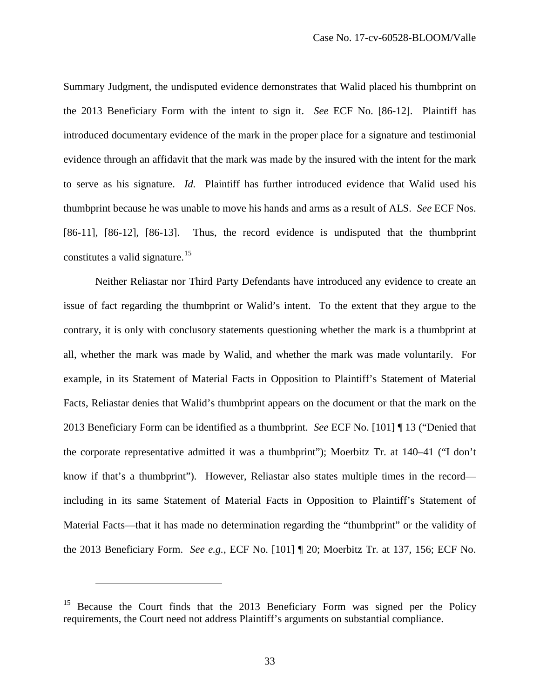Summary Judgment, the undisputed evidence demonstrates that Walid placed his thumbprint on the 2013 Beneficiary Form with the intent to sign it. *See* ECF No. [86-12]. Plaintiff has introduced documentary evidence of the mark in the proper place for a signature and testimonial evidence through an affidavit that the mark was made by the insured with the intent for the mark to serve as his signature. *Id.* Plaintiff has further introduced evidence that Walid used his thumbprint because he was unable to move his hands and arms as a result of ALS. *See* ECF Nos. [86-11], [86-12], [86-13]. Thus, the record evidence is undisputed that the thumbprint constitutes a valid signature.<sup>[15](#page-32-0)</sup>

Neither Reliastar nor Third Party Defendants have introduced any evidence to create an issue of fact regarding the thumbprint or Walid's intent. To the extent that they argue to the contrary, it is only with conclusory statements questioning whether the mark is a thumbprint at all, whether the mark was made by Walid, and whether the mark was made voluntarily. For example, in its Statement of Material Facts in Opposition to Plaintiff's Statement of Material Facts, Reliastar denies that Walid's thumbprint appears on the document or that the mark on the 2013 Beneficiary Form can be identified as a thumbprint. *See* ECF No. [101] ¶ 13 ("Denied that the corporate representative admitted it was a thumbprint"); Moerbitz Tr. at 140–41 ("I don't know if that's a thumbprint"). However, Reliastar also states multiple times in the record including in its same Statement of Material Facts in Opposition to Plaintiff's Statement of Material Facts—that it has made no determination regarding the "thumbprint" or the validity of the 2013 Beneficiary Form. *See e.g.*, ECF No. [101] ¶ 20; Moerbitz Tr. at 137, 156; ECF No.

<u>.</u>

<span id="page-32-0"></span><sup>15</sup> Because the Court finds that the 2013 Beneficiary Form was signed per the Policy requirements, the Court need not address Plaintiff's arguments on substantial compliance.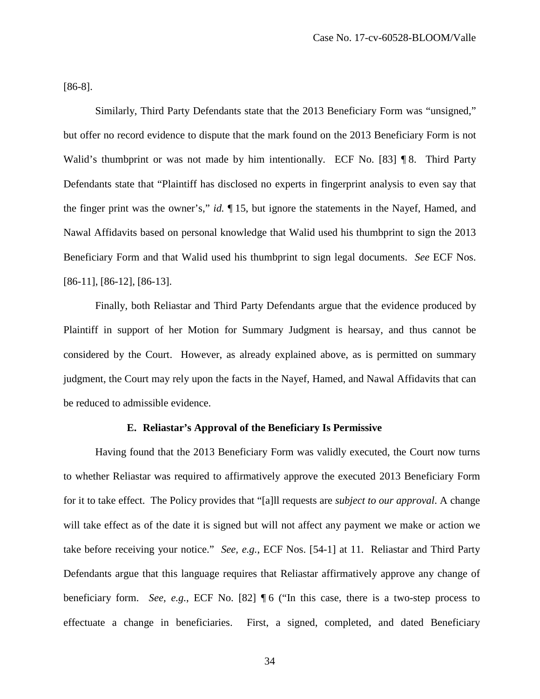[86-8].

Similarly, Third Party Defendants state that the 2013 Beneficiary Form was "unsigned," but offer no record evidence to dispute that the mark found on the 2013 Beneficiary Form is not Walid's thumbprint or was not made by him intentionally. ECF No. [83] ¶ 8. Third Party Defendants state that "Plaintiff has disclosed no experts in fingerprint analysis to even say that the finger print was the owner's," *id.* ¶ 15, but ignore the statements in the Nayef, Hamed, and Nawal Affidavits based on personal knowledge that Walid used his thumbprint to sign the 2013 Beneficiary Form and that Walid used his thumbprint to sign legal documents. *See* ECF Nos. [86-11], [86-12], [86-13].

Finally, both Reliastar and Third Party Defendants argue that the evidence produced by Plaintiff in support of her Motion for Summary Judgment is hearsay, and thus cannot be considered by the Court. However, as already explained above, as is permitted on summary judgment, the Court may rely upon the facts in the Nayef, Hamed, and Nawal Affidavits that can be reduced to admissible evidence.

### **E. Reliastar's Approval of the Beneficiary Is Permissive**

Having found that the 2013 Beneficiary Form was validly executed, the Court now turns to whether Reliastar was required to affirmatively approve the executed 2013 Beneficiary Form for it to take effect. The Policy provides that "[a]ll requests are *subject to our approval*. A change will take effect as of the date it is signed but will not affect any payment we make or action we take before receiving your notice." *See, e.g.*, ECF Nos. [54-1] at 11. Reliastar and Third Party Defendants argue that this language requires that Reliastar affirmatively approve any change of beneficiary form. *See, e.g.*, ECF No. [82] ¶ 6 ("In this case, there is a two-step process to effectuate a change in beneficiaries. First, a signed, completed, and dated Beneficiary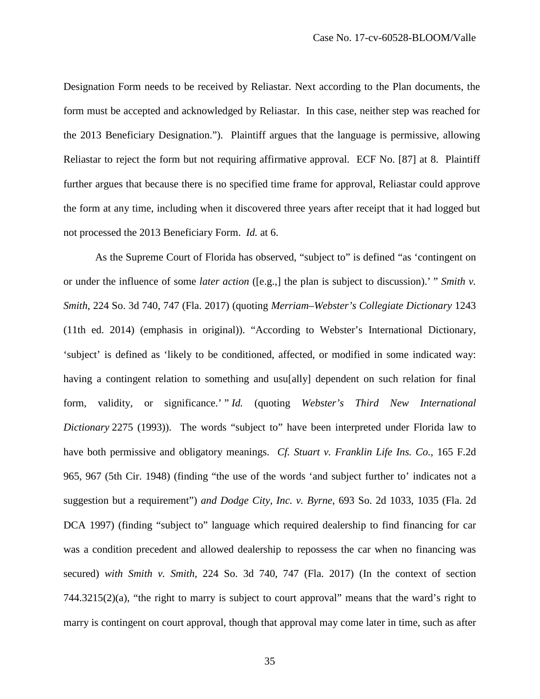Designation Form needs to be received by Reliastar. Next according to the Plan documents, the form must be accepted and acknowledged by Reliastar. In this case, neither step was reached for the 2013 Beneficiary Designation."). Plaintiff argues that the language is permissive, allowing Reliastar to reject the form but not requiring affirmative approval. ECF No. [87] at 8. Plaintiff further argues that because there is no specified time frame for approval, Reliastar could approve the form at any time, including when it discovered three years after receipt that it had logged but not processed the 2013 Beneficiary Form. *Id.* at 6.

As the Supreme Court of Florida has observed, "subject to" is defined "as 'contingent on or under the influence of some *later action* ([e.g.,] the plan is subject to discussion).' " *Smith v. Smith*, 224 So. 3d 740, 747 (Fla. 2017) (quoting *Merriam–Webster's Collegiate Dictionary* 1243 (11th ed. 2014) (emphasis in original)). "According to Webster's International Dictionary, 'subject' is defined as 'likely to be conditioned, affected, or modified in some indicated way: having a contingent relation to something and usu[ally] dependent on such relation for final form, validity, or significance.' " *Id.* (quoting *Webster's Third New International Dictionary* 2275 (1993)). The words "subject to" have been interpreted under Florida law to have both permissive and obligatory meanings. *Cf. Stuart v. Franklin Life Ins. Co.*, 165 F.2d 965, 967 (5th Cir. 1948) (finding "the use of the words 'and subject further to' indicates not a suggestion but a requirement") *and Dodge City, Inc. v. Byrne*, 693 So. 2d 1033, 1035 (Fla. 2d DCA 1997) (finding "subject to" language which required dealership to find financing for car was a condition precedent and allowed dealership to repossess the car when no financing was secured) *with Smith v. Smith*, 224 So. 3d 740, 747 (Fla. 2017) (In the context of section  $744.3215(2)(a)$ , "the right to marry is subject to court approval" means that the ward's right to marry is contingent on court approval, though that approval may come later in time, such as after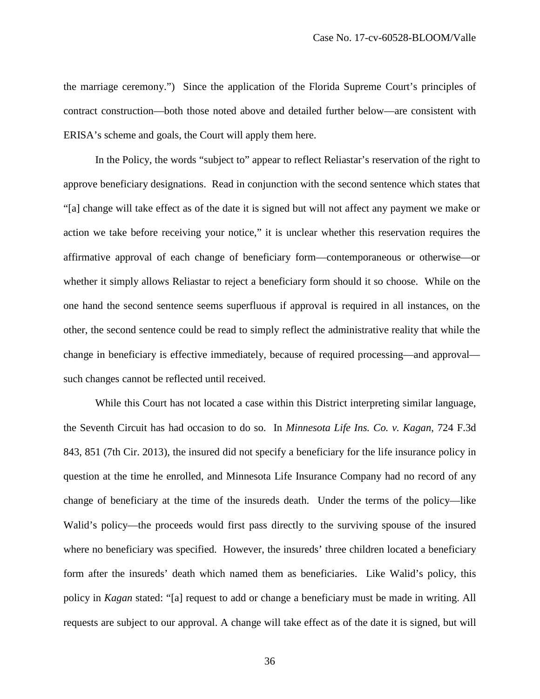the marriage ceremony.") Since the application of the Florida Supreme Court's principles of contract construction—both those noted above and detailed further below—are consistent with ERISA's scheme and goals, the Court will apply them here.

In the Policy, the words "subject to" appear to reflect Reliastar's reservation of the right to approve beneficiary designations. Read in conjunction with the second sentence which states that "[a] change will take effect as of the date it is signed but will not affect any payment we make or action we take before receiving your notice," it is unclear whether this reservation requires the affirmative approval of each change of beneficiary form—contemporaneous or otherwise—or whether it simply allows Reliastar to reject a beneficiary form should it so choose. While on the one hand the second sentence seems superfluous if approval is required in all instances, on the other, the second sentence could be read to simply reflect the administrative reality that while the change in beneficiary is effective immediately, because of required processing—and approval such changes cannot be reflected until received.

While this Court has not located a case within this District interpreting similar language, the Seventh Circuit has had occasion to do so. In *Minnesota Life Ins. Co. v. Kagan*, 724 F.3d 843, 851 (7th Cir. 2013), the insured did not specify a beneficiary for the life insurance policy in question at the time he enrolled, and Minnesota Life Insurance Company had no record of any change of beneficiary at the time of the insureds death. Under the terms of the policy—like Walid's policy—the proceeds would first pass directly to the surviving spouse of the insured where no beneficiary was specified. However, the insureds' three children located a beneficiary form after the insureds' death which named them as beneficiaries. Like Walid's policy, this policy in *Kagan* stated: "[a] request to add or change a beneficiary must be made in writing. All requests are subject to our approval. A change will take effect as of the date it is signed, but will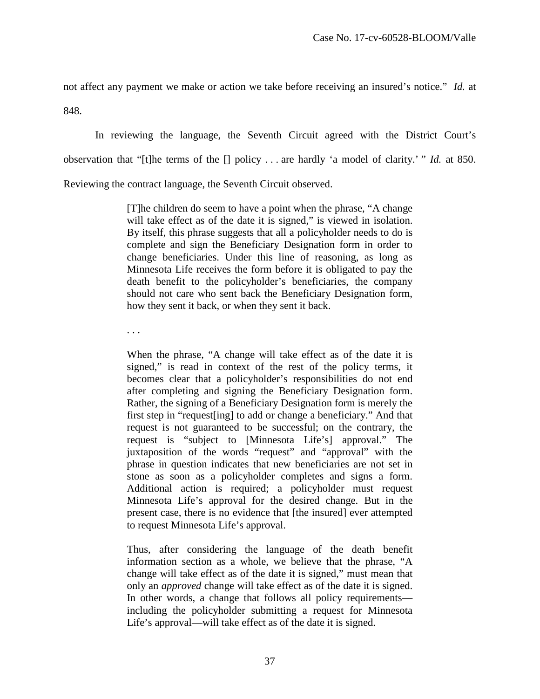not affect any payment we make or action we take before receiving an insured's notice." *Id.* at

848.

In reviewing the language, the Seventh Circuit agreed with the District Court's observation that "[t]he terms of the [] policy . . . are hardly 'a model of clarity.' " *Id.* at 850. Reviewing the contract language, the Seventh Circuit observed.

> [T]he children do seem to have a point when the phrase, "A change will take effect as of the date it is signed," is viewed in isolation. By itself, this phrase suggests that all a policyholder needs to do is complete and sign the Beneficiary Designation form in order to change beneficiaries. Under this line of reasoning, as long as Minnesota Life receives the form before it is obligated to pay the death benefit to the policyholder's beneficiaries, the company should not care who sent back the Beneficiary Designation form, how they sent it back, or when they sent it back.

. . .

When the phrase, "A change will take effect as of the date it is signed," is read in context of the rest of the policy terms, it becomes clear that a policyholder's responsibilities do not end after completing and signing the Beneficiary Designation form. Rather, the signing of a Beneficiary Designation form is merely the first step in "request[ing] to add or change a beneficiary." And that request is not guaranteed to be successful; on the contrary, the request is "subject to [Minnesota Life's] approval." The juxtaposition of the words "request" and "approval" with the phrase in question indicates that new beneficiaries are not set in stone as soon as a policyholder completes and signs a form. Additional action is required; a policyholder must request Minnesota Life's approval for the desired change. But in the present case, there is no evidence that [the insured] ever attempted to request Minnesota Life's approval.

Thus, after considering the language of the death benefit information section as a whole, we believe that the phrase, "A change will take effect as of the date it is signed," must mean that only an *approved* change will take effect as of the date it is signed. In other words, a change that follows all policy requirements including the policyholder submitting a request for Minnesota Life's approval—will take effect as of the date it is signed.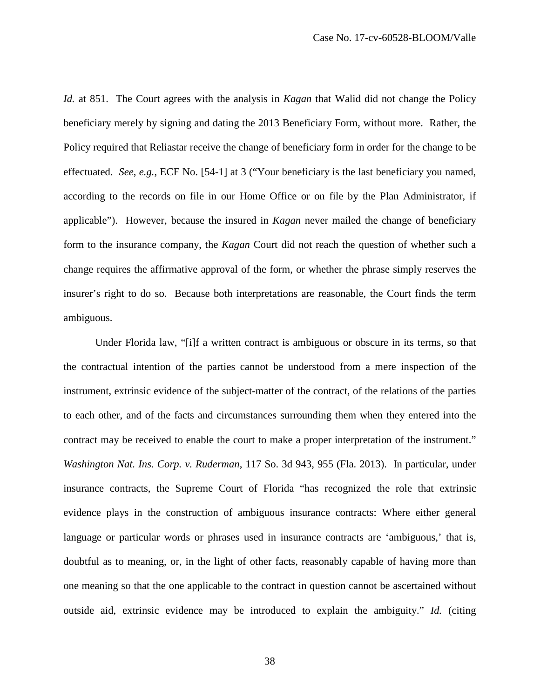*Id.* at 851. The Court agrees with the analysis in *Kagan* that Walid did not change the Policy beneficiary merely by signing and dating the 2013 Beneficiary Form, without more. Rather, the Policy required that Reliastar receive the change of beneficiary form in order for the change to be effectuated. *See*, *e.g.*, ECF No. [54-1] at 3 ("Your beneficiary is the last beneficiary you named, according to the records on file in our Home Office or on file by the Plan Administrator, if applicable"). However, because the insured in *Kagan* never mailed the change of beneficiary form to the insurance company, the *Kagan* Court did not reach the question of whether such a change requires the affirmative approval of the form, or whether the phrase simply reserves the insurer's right to do so. Because both interpretations are reasonable, the Court finds the term ambiguous.

Under Florida law, "[i]f a written contract is ambiguous or obscure in its terms, so that the contractual intention of the parties cannot be understood from a mere inspection of the instrument, extrinsic evidence of the subject-matter of the contract, of the relations of the parties to each other, and of the facts and circumstances surrounding them when they entered into the contract may be received to enable the court to make a proper interpretation of the instrument." *Washington Nat. Ins. Corp. v. Ruderman*, 117 So. 3d 943, 955 (Fla. 2013). In particular, under insurance contracts, the Supreme Court of Florida "has recognized the role that extrinsic evidence plays in the construction of ambiguous insurance contracts: Where either general language or particular words or phrases used in insurance contracts are 'ambiguous,' that is, doubtful as to meaning, or, in the light of other facts, reasonably capable of having more than one meaning so that the one applicable to the contract in question cannot be ascertained without outside aid, extrinsic evidence may be introduced to explain the ambiguity." *Id.* (citing

38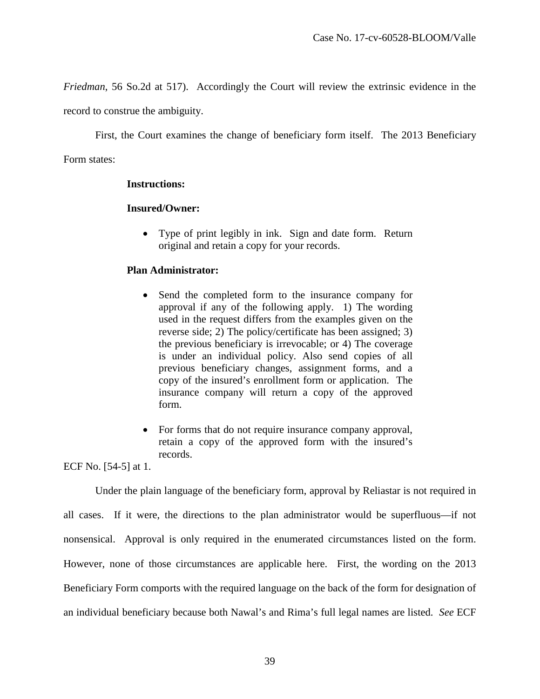*Friedman*, 56 So.2d at 517). Accordingly the Court will review the extrinsic evidence in the

record to construe the ambiguity.

First, the Court examines the change of beneficiary form itself. The 2013 Beneficiary

Form states:

## **Instructions:**

## **Insured/Owner:**

• Type of print legibly in ink. Sign and date form. Return original and retain a copy for your records.

## **Plan Administrator:**

- Send the completed form to the insurance company for approval if any of the following apply. 1) The wording used in the request differs from the examples given on the reverse side; 2) The policy/certificate has been assigned; 3) the previous beneficiary is irrevocable; or 4) The coverage is under an individual policy. Also send copies of all previous beneficiary changes, assignment forms, and a copy of the insured's enrollment form or application. The insurance company will return a copy of the approved form.
- For forms that do not require insurance company approval, retain a copy of the approved form with the insured's records.

ECF No. [54-5] at 1.

Under the plain language of the beneficiary form, approval by Reliastar is not required in all cases. If it were, the directions to the plan administrator would be superfluous—if not nonsensical. Approval is only required in the enumerated circumstances listed on the form. However, none of those circumstances are applicable here. First, the wording on the 2013 Beneficiary Form comports with the required language on the back of the form for designation of an individual beneficiary because both Nawal's and Rima's full legal names are listed. *See* ECF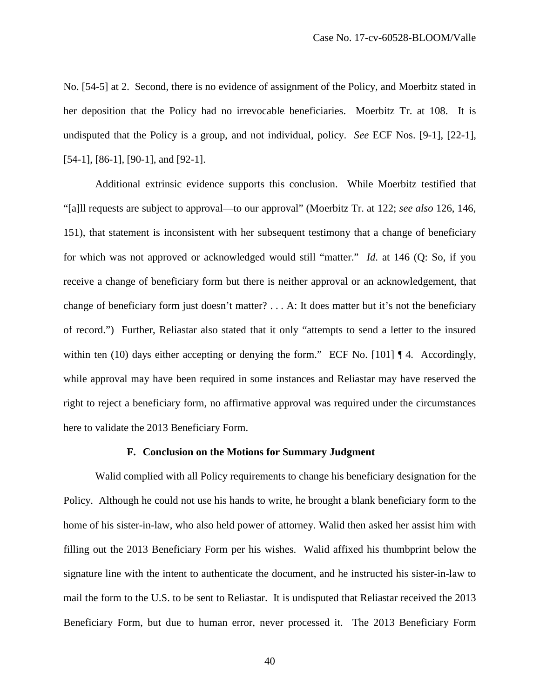No. [54-5] at 2. Second, there is no evidence of assignment of the Policy, and Moerbitz stated in her deposition that the Policy had no irrevocable beneficiaries. Moerbitz Tr. at 108. It is undisputed that the Policy is a group, and not individual, policy. *See* ECF Nos. [9-1], [22-1], [54-1], [86-1], [90-1], and [92-1].

Additional extrinsic evidence supports this conclusion. While Moerbitz testified that "[a]ll requests are subject to approval—to our approval" (Moerbitz Tr. at 122; *see also* 126, 146, 151), that statement is inconsistent with her subsequent testimony that a change of beneficiary for which was not approved or acknowledged would still "matter." *Id.* at 146 (Q: So, if you receive a change of beneficiary form but there is neither approval or an acknowledgement, that change of beneficiary form just doesn't matter? . . . A: It does matter but it's not the beneficiary of record.") Further, Reliastar also stated that it only "attempts to send a letter to the insured within ten (10) days either accepting or denying the form." ECF No. [101] 14. Accordingly, while approval may have been required in some instances and Reliastar may have reserved the right to reject a beneficiary form, no affirmative approval was required under the circumstances here to validate the 2013 Beneficiary Form.

#### **F. Conclusion on the Motions for Summary Judgment**

Walid complied with all Policy requirements to change his beneficiary designation for the Policy. Although he could not use his hands to write, he brought a blank beneficiary form to the home of his sister-in-law, who also held power of attorney. Walid then asked her assist him with filling out the 2013 Beneficiary Form per his wishes. Walid affixed his thumbprint below the signature line with the intent to authenticate the document, and he instructed his sister-in-law to mail the form to the U.S. to be sent to Reliastar. It is undisputed that Reliastar received the 2013 Beneficiary Form, but due to human error, never processed it. The 2013 Beneficiary Form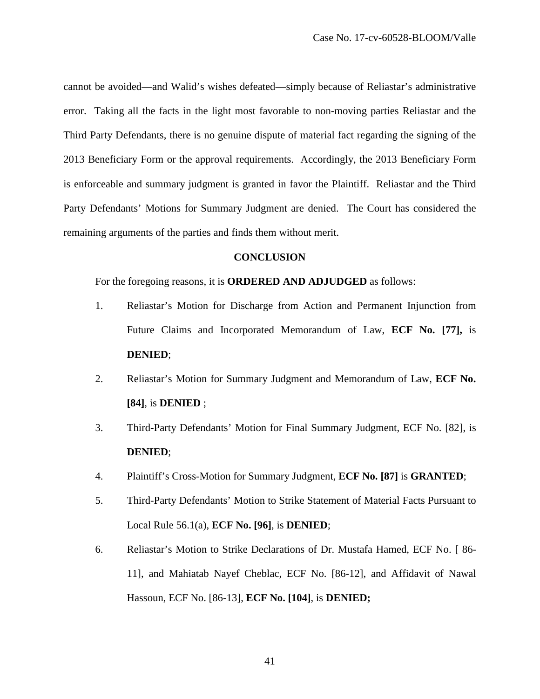cannot be avoided—and Walid's wishes defeated—simply because of Reliastar's administrative error. Taking all the facts in the light most favorable to non-moving parties Reliastar and the Third Party Defendants, there is no genuine dispute of material fact regarding the signing of the 2013 Beneficiary Form or the approval requirements. Accordingly, the 2013 Beneficiary Form is enforceable and summary judgment is granted in favor the Plaintiff. Reliastar and the Third Party Defendants' Motions for Summary Judgment are denied. The Court has considered the remaining arguments of the parties and finds them without merit.

#### **CONCLUSION**

For the foregoing reasons, it is **ORDERED AND ADJUDGED** as follows:

- 1. Reliastar's Motion for Discharge from Action and Permanent Injunction from Future Claims and Incorporated Memorandum of Law, **ECF No. [77],** is **DENIED**;
- 2. Reliastar's Motion for Summary Judgment and Memorandum of Law, **ECF No. [84]**, is **DENIED** ;
- 3. Third-Party Defendants' Motion for Final Summary Judgment, ECF No. [82], is **DENIED**;
- 4. Plaintiff's Cross-Motion for Summary Judgment, **ECF No. [87]** is **GRANTED**;
- 5. Third-Party Defendants' Motion to Strike Statement of Material Facts Pursuant to Local Rule 56.1(a), **ECF No. [96]**, is **DENIED**;
- 6. Reliastar's Motion to Strike Declarations of Dr. Mustafa Hamed, ECF No. [ 86- 11], and Mahiatab Nayef Cheblac, ECF No. [86-12], and Affidavit of Nawal Hassoun, ECF No. [86-13], **ECF No. [104]**, is **DENIED;**